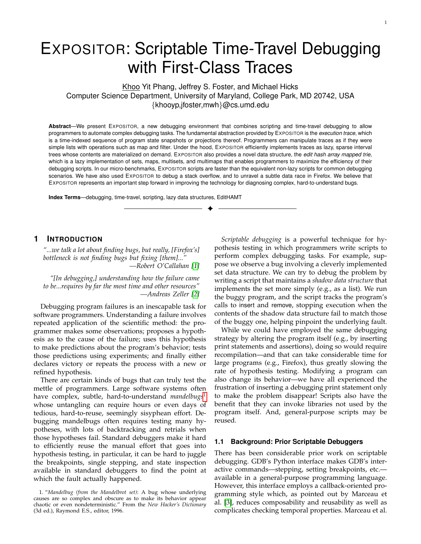# EXPOSITOR: Scriptable Time-Travel Debugging with First-Class Traces

Khoo Yit Phang, Jeffrey S. Foster, and Michael Hicks Computer Science Department, University of Maryland, College Park, MD 20742, USA {khooyp,jfoster,mwh}@cs.umd.edu

**Abstract**—We present EXPOSITOR, a new debugging environment that combines scripting and time-travel debugging to allow programmers to automate complex debugging tasks. The fundamental abstraction provided by EXPOSITOR is the *execution trace*, which is a time-indexed sequence of program state snapshots or projections thereof. Programmers can manipulate traces as if they were simple lists with operations such as map and filter. Under the hood, EXPOSITOR efficiently implements traces as lazy, sparse interval trees whose contents are materialized on demand. EXPOSITOR also provides a novel data structure, the *edit hash array mapped trie*, which is a lazy implementation of sets, maps, multisets, and multimaps that enables programmers to maximize the efficiency of their debugging scripts. In our micro-benchmarks, EXPOSITOR scripts are faster than the equivalent non-lazy scripts for common debugging scenarios. We have also used EXPOSITOR to debug a stack overflow, and to unravel a subtle data race in Firefox. We believe that EXPOSITOR represents an important step forward in improving the technology for diagnosing complex, hard-to-understand bugs.

✦

**Index Terms**—debugging, time-travel, scripting, lazy data structures, EditHAMT

## <span id="page-0-1"></span>**1 INTRODUCTION**

*"...we talk a lot about finding bugs, but really, [Firefox's] bottleneck is not finding bugs but fixing [them]..." —Robert O'Callahan [\[1\]](#page-24-0)*

*"[In debugging,] understanding how the failure came to be...requires by far the most time and other resources" —Andreas Zeller [\[2\]](#page-24-1)*

Debugging program failures is an inescapable task for software programmers. Understanding a failure involves repeated application of the scientific method: the programmer makes some observations; proposes a hypothesis as to the cause of the failure; uses this hypothesis to make predictions about the program's behavior; tests those predictions using experiments; and finally either declares victory or repeats the process with a new or refined hypothesis.

There are certain kinds of bugs that can truly test the mettle of programmers. Large software systems often have complex, subtle, hard-to-understand *mandelbugs*<sup>[1](#page-0-0)</sup> whose untangling can require hours or even days of tedious, hard-to-reuse, seemingly sisyphean effort. Debugging mandelbugs often requires testing many hypotheses, with lots of backtracking and retrials when those hypotheses fail. Standard debuggers make it hard to efficiently reuse the manual effort that goes into hypothesis testing, in particular, it can be hard to juggle the breakpoints, single stepping, and state inspection available in standard debuggers to find the point at which the fault actually happened.

*Scriptable debugging* is a powerful technique for hypothesis testing in which programmers write scripts to perform complex debugging tasks. For example, suppose we observe a bug involving a cleverly implemented set data structure. We can try to debug the problem by writing a script that maintains a *shadow data structure* that implements the set more simply (e.g., as a list). We run the buggy program, and the script tracks the program's calls to insert and remove, stopping execution when the contents of the shadow data structure fail to match those of the buggy one, helping pinpoint the underlying fault.

While we could have employed the same debugging strategy by altering the program itself (e.g., by inserting print statements and assertions), doing so would require recompilation—and that can take considerable time for large programs (e.g., Firefox), thus greatly slowing the rate of hypothesis testing. Modifying a program can also change its behavior—we have all experienced the frustration of inserting a debugging print statement only to make the problem disappear! Scripts also have the benefit that they can invoke libraries not used by the program itself. And, general-purpose scripts may be reused.

#### **1.1 Background: Prior Scriptable Debuggers**

There has been considerable prior work on scriptable debugging. GDB's Python interface makes GDB's interactive commands—stepping, setting breakpoints, etc. available in a general-purpose programming language. However, this interface employs a callback-oriented programming style which, as pointed out by Marceau et al. [\[3\]](#page-24-2), reduces composability and reusability as well as complicates checking temporal properties. Marceau et al.

<span id="page-0-0"></span><sup>1. &</sup>quot;*Mandelbug (from the Mandelbrot set)*: A bug whose underlying causes are so complex and obscure as to make its behavior appear chaotic or even nondeterministic." From the *New Hacker's Dictionary* (3d ed.), Raymond E.S., editor, 1996.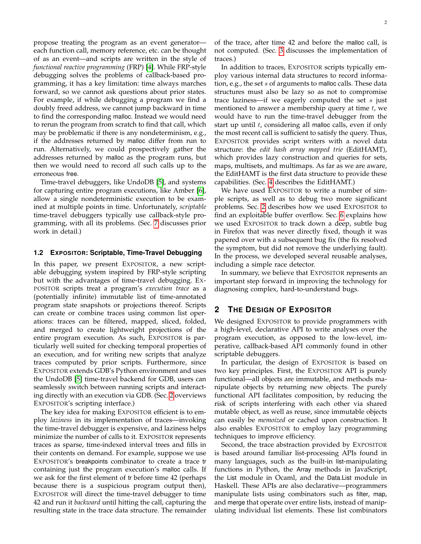propose treating the program as an event generator each function call, memory reference, etc. can be thought of as an event—and scripts are written in the style of *functional reactive programming* (FRP) [\[4\]](#page-24-3). While FRP-style debugging solves the problems of callback-based programming, it has a key limitation: time always marches forward, so we cannot ask questions about prior states. For example, if while debugging a program we find a doubly freed address, we cannot jump backward in time to find the corresponding malloc. Instead we would need to rerun the program from scratch to find that call, which may be problematic if there is any nondeterminism, e.g., if the addresses returned by malloc differ from run to run. Alternatively, we could prospectively gather the addresses returned by malloc as the program runs, but then we would need to record *all* such calls up to the erroneous free.

Time-travel debuggers, like UndoDB [\[5\]](#page-24-4), and systems for capturing entire program executions, like Amber [\[6\]](#page-24-5), allow a single nondeterministic execution to be examined at multiple points in time. Unfortunately, *scriptable* time-travel debuggers typically use callback-style programming, with all its problems. (Sec. [7](#page-22-0) discusses prior work in detail.)

## **1.2 EXPOSITOR: Scriptable, Time-Travel Debugging**

In this paper, we present EXPOSITOR, a new scriptable debugging system inspired by FRP-style scripting but with the advantages of time-travel debugging. EX-POSITOR scripts treat a program's *execution trace* as a (potentially infinite) immutable list of time-annotated program state snapshots or projections thereof. Scripts can create or combine traces using common list operations: traces can be filtered, mapped, sliced, folded, and merged to create lightweight projections of the entire program execution. As such, EXPOSITOR is particularly well suited for checking temporal properties of an execution, and for writing new scripts that analyze traces computed by prior scripts. Furthermore, since EXPOSITOR extends GDB's Python environment and uses the UndoDB [\[5\]](#page-24-4) time-travel backend for GDB, users can seamlessly switch between running scripts and interacting directly with an execution via GDB. (Sec. [2](#page-1-0) overviews EXPOSITOR's scripting interface.)

The key idea for making EXPOSITOR efficient is to employ *laziness* in its implementation of traces—invoking the time-travel debugger is expensive, and laziness helps minimize the number of calls to it. EXPOSITOR represents traces as sparse, time-indexed interval trees and fills in their contents on demand. For example, suppose we use EXPOSITOR's breakpoints combinator to create a trace tr containing just the program execution's malloc calls. If we ask for the first element of tr before time 42 (perhaps because there is a suspicious program output then), EXPOSITOR will direct the time-travel debugger to time 42 and run it *backward* until hitting the call, capturing the resulting state in the trace data structure. The remainder

of the trace, after time 42 and before the malloc call, is not computed. (Sec. [3](#page-6-0) discusses the implementation of traces.)

In addition to traces, EXPOSITOR scripts typically employ various internal data structures to record information, e.g., the set s of arguments to malloc calls. These data structures must also be lazy so as not to compromise trace laziness—if we eagerly computed the set  $s$  just mentioned to answer a membership query at time  $t$ , we would have to run the time-travel debugger from the start up until  $t$ , considering all malloc calls, even if only the most recent call is sufficient to satisfy the query. Thus, EXPOSITOR provides script writers with a novel data structure: the *edit hash array mapped trie* (EditHAMT), which provides lazy construction and queries for sets, maps, multisets, and multimaps. As far as we are aware, the EditHAMT is the first data structure to provide these capabilities. (Sec. [4](#page-8-0) describes the EditHAMT.)

We have used EXPOSITOR to write a number of simple scripts, as well as to debug two more significant problems. Sec. [2](#page-1-0) describes how we used EXPOSITOR to find an exploitable buffer overflow. Sec. [6](#page-21-0) explains how we used EXPOSITOR to track down a deep, subtle bug in Firefox that was never directly fixed, though it was papered over with a subsequent bug fix (the fix resolved the symptom, but did not remove the underlying fault). In the process, we developed several reusable analyses, including a simple race detector.

In summary, we believe that EXPOSITOR represents an important step forward in improving the technology for diagnosing complex, hard-to-understand bugs.

## <span id="page-1-0"></span>**2 THE DESIGN OF EXPOSITOR**

We designed EXPOSITOR to provide programmers with a high-level, declarative API to write analyses over the program execution, as opposed to the low-level, imperative, callback-based API commonly found in other scriptable debuggers.

In particular, the design of EXPOSITOR is based on two key principles. First, the EXPOSITOR API is purely functional—all objects are immutable, and methods manipulate objects by returning new objects. The purely functional API facilitates composition, by reducing the risk of scripts interfering with each other via shared mutable object, as well as reuse, since immutable objects can easily be *memoized* or cached upon construction. It also enables EXPOSITOR to employ lazy programming techniques to improve efficiency.

Second, the trace abstraction provided by EXPOSITOR is based around familiar list-processing APIs found in many languages, such as the built-in list-manipulating functions in Python, the Array methods in JavaScript, the List module in Ocaml, and the Data.List module in Haskell. These APIs are also declarative—programmers manipulate lists using combinators such as filter, map, and merge that operate over entire lists, instead of manipulating individual list elements. These list combinators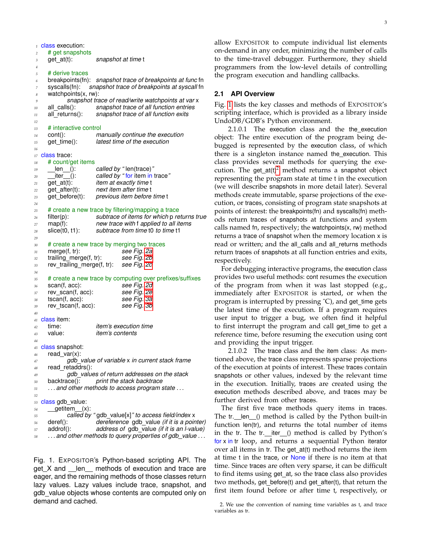|                     | $\frac{1}{1}$ class execution:   |                                                                                                |
|---------------------|----------------------------------|------------------------------------------------------------------------------------------------|
| $\sqrt{2}$          | # get snapshots                  |                                                                                                |
| 3                   | $get$ at(t):                     | snapshot at time t                                                                             |
| $\overline{4}$<br>5 | # derive traces                  |                                                                                                |
| 6                   | breakpoints(fn):                 | snapshot trace of breakpoints at func fn                                                       |
| $\overline{7}$      | syscalls(fn):                    | snapshot trace of breakpoints at syscall fn                                                    |
| 8                   | watchpoints $(x, rw)$ :          |                                                                                                |
| 9                   |                                  | snapshot trace of read/write watchpoints at var x                                              |
| 10                  | all_calls():                     | snapshot trace of all function entries                                                         |
| 11                  |                                  | all returns(): snapshot trace of all function exits                                            |
| 12<br>13            | # interactive control            |                                                                                                |
| 14                  | $cont()$ :                       | manually continue the execution                                                                |
| 15                  | get_time():                      | latest time of the execution                                                                   |
| 16                  |                                  |                                                                                                |
| 17                  | class trace:                     |                                                                                                |
| 18                  | # count/get items                |                                                                                                |
| 19                  | _len__():<br>__iter__():         | called by "len(trace)"                                                                         |
| 20<br>21            | get_at(t):                       | called by "for item in trace"<br><i>item at exactly time t</i>                                 |
| 22                  |                                  | get_after(t): next item after time t                                                           |
| 23                  | get_before(t):                   | previous item before time t                                                                    |
| 24                  |                                  |                                                                                                |
| 25                  |                                  | # create a new trace by filtering/mapping a trace                                              |
| 26                  | filter(p):                       | subtrace of items for which p returns true                                                     |
| 27<br>28            | $map(f)$ :<br>slice(t0, t1):     | new trace with f applied to all items<br>subtrace from time to to time t1                      |
| 29                  |                                  |                                                                                                |
| 30                  |                                  | # create a new trace by merging two traces                                                     |
| 31                  | merge(f, tr):                    | see Fig. 2a                                                                                    |
| 32                  | trailing_merge(f, tr):           | see Fig. 2b                                                                                    |
| 33                  |                                  | rev_trailing_merge(f, tr): see Fig. 2c                                                         |
| 34<br>35            |                                  | # create a new trace by computing over prefixes/suffixes                                       |
| 36                  | scan(f, acc):                    | see Fig. 2d                                                                                    |
| 37                  | rev_scan(f, acc):                | see Fig. 2e                                                                                    |
| 38                  | tscan(f, acc):                   | see Fig. 3a                                                                                    |
| 39                  | rev tscan(f, acc):               | see Fig. 3b                                                                                    |
| 40                  | <sup>41</sup> <b>class item:</b> |                                                                                                |
| 42                  | time:                            | <i>item's execution time</i>                                                                   |
| 43                  | value:                           | <i>item's contents</i>                                                                         |
| 44                  |                                  |                                                                                                |
|                     | 45 class snapshot:               |                                                                                                |
| 46                  | read $var(x)$ :                  |                                                                                                |
| 47                  | read retaddrs():                 | gdb value of variable x in current stack frame                                                 |
| 48<br>49            |                                  | gdb_values of return addresses on the stack                                                    |
| 50                  | backtrace():                     | print the stack backtrace                                                                      |
| 51                  |                                  | and other methods to access program state                                                      |
| 52                  |                                  |                                                                                                |
| 53                  | class gdb_value:                 |                                                                                                |
| 54                  | qetitem (x):                     |                                                                                                |
| 55                  | deref():                         | called by "gdb_value[x]" to access field/index x<br>dereference gdb_value (if it is a pointer) |
| 56<br>57            | addrof():                        | address of gdb_value (if it is an I-value)                                                     |
|                     |                                  |                                                                                                |

*<sup>58</sup> . . . and other methods to query properties of gdb value . . .*

<span id="page-2-0"></span>Fig. 1. EXPOSITOR's Python-based scripting API. The get X and len methods of execution and trace are eager, and the remaining methods of those classes return lazy values. Lazy values include trace, snapshot, and gdb\_value objects whose contents are computed only on demand and cached.

allow EXPOSITOR to compute individual list elements on-demand in any order, minimizing the number of calls to the time-travel debugger. Furthermore, they shield programmers from the low-level details of controlling the program execution and handling callbacks.

#### **2.1 API Overview**

Fig. [1](#page-2-0) lists the key classes and methods of EXPOSITOR's scripting interface, which is provided as a library inside UndoDB/GDB's Python environment.

2.1.0.1 The execution class and the the\_execution object: The entire execution of the program being debugged is represented by the execution class, of which there is a singleton instance named the execution. This class provides several methods for querying the exe-cution. The get\_at(t)<sup>[2](#page-2-1)</sup> method returns a snapshot object representing the program state at time t in the execution (we will describe snapshots in more detail later). Several methods create immutable, sparse projections of the execution, or traces, consisting of program state snapshots at points of interest: the breakpoints(fn) and syscalls(fn) methods return traces of snapshots at functions and system calls named fn, respectively; the watchpoints(x, rw) method returns a trace of snapshot when the memory location x is read or written; and the all calls and all returns methods return traces of snapshots at all function entries and exits, respectively.

For debugging interactive programs, the execution class provides two useful methods: cont resumes the execution of the program from when it was last stopped (e.g., immediately after EXPOSITOR is started, or when the program is interrupted by pressing  $\hat{C}$ ), and get\_time gets the latest time of the execution. If a program requires user input to trigger a bug, we often find it helpful to first interrupt the program and call get time to get a reference time, before resuming the execution using cont and providing the input trigger.

2.1.0.2 The trace class and the item class: As mentioned above, the trace class represents sparse projections of the execution at points of interest. These traces contain snapshots or other values, indexed by the relevant time in the execution. Initially, traces are created using the execution methods described above, and traces may be further derived from other traces.

The first five trace methods query items in traces. The tr. len () method is called by the Python built-in function len(tr), and returns the total number of items in the tr. The tr.  $iter_()$  method is called by Python's for x in tr loop, and returns a sequential Python iterator over all items in tr. The get at(t) method returns the item at time t in the trace, or None if there is no item at that time. Since traces are often very sparse, it can be difficult to find items using get\_at, so the trace class also provides two methods, get before(t) and get after(t), that return the first item found before or after time t, respectively, or

<span id="page-2-1"></span><sup>2.</sup> We use the convention of naming time variables as t, and trace variables as tr.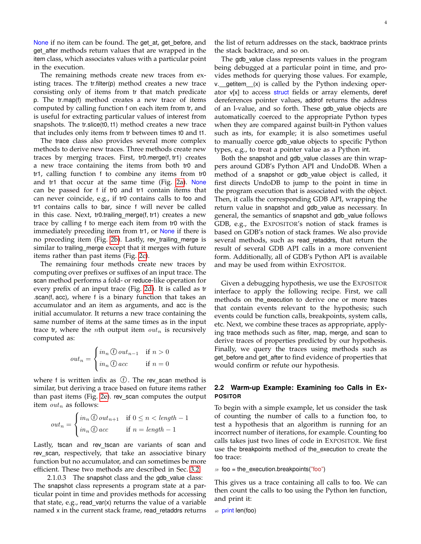None if no item can be found. The get\_at, get\_before, and get after methods return values that are wrapped in the item class, which associates values with a particular point in the execution.

The remaining methods create new traces from existing traces. The tr.filter(p) method creates a new trace consisting only of items from tr that match predicate p. The tr.map(f) method creates a new trace of items computed by calling function f on each item from tr, and is useful for extracting particular values of interest from snapshots. The tr.slice(t0, t1) method creates a new trace that includes only items from tr between times t0 and t1.

The trace class also provides several more complex methods to derive new traces. Three methods create new traces by merging traces. First, tr0.merge(f, tr1) creates a new trace containing the items from both tr0 and tr1, calling function f to combine any items from tr0 and tr1 that occur at the same time (Fig. [2a\)](#page-4-0). None can be passed for f if tr0 and tr1 contain items that can never coincide, e.g., if tr0 contains calls to foo and tr1 contains calls to bar, since f will never be called in this case. Next, tr0.trailing\_merge(f, tr1) creates a new trace by calling f to merge each item from tr0 with the immediately preceding item from tr1, or None if there is no preceding item (Fig. [2b\)](#page-4-1). Lastly, rev\_trailing\_merge is similar to trailing merge except that it merges with future items rather than past items (Fig. [2c\)](#page-4-2).

The remaining four methods create new traces by computing over prefixes or suffixes of an input trace. The scan method performs a fold- or reduce-like operation for every prefix of an input trace (Fig. [2d\)](#page-4-3). It is called as tr .scan(f, acc), where f is a binary function that takes an accumulator and an item as arguments, and acc is the initial accumulator. It returns a new trace containing the same number of items at the same times as in the input trace tr, where the *n*th output item  $out_n$  is recursively computed as:

$$
out_n = \begin{cases} in_n \bigoplus out_{n-1} & \text{if } n > 0 \\ in_n \bigoplus acc & \text{if } n = 0 \end{cases}
$$

where f is written infix as  $\circled{f}$ . The rev\_scan method is similar, but deriving a trace based on future items rather than past items (Fig. [2e\)](#page-4-4). rev\_scan computes the output item  $out_n$  as follows:

$$
out_n = \begin{cases} in_n \oplus out_{n+1} & \text{if } 0 \le n < length - 1 \\ in_n \oplus acc & \text{if } n = length - 1 \end{cases}
$$

Lastly, tscan and rev\_tscan are variants of scan and rev\_scan, respectively, that take an associative binary function but no accumulator, and can sometimes be more efficient. These two methods are described in Sec. [3.2.](#page-7-0)

2.1.0.3 The snapshot class and the gdb\_value class: The snapshot class represents a program state at a particular point in time and provides methods for accessing that state, e.g.,  $read\_var(x)$  returns the value of a variable named x in the current stack frame, read retaddrs returns the list of return addresses on the stack, backtrace prints the stack backtrace, and so on.

The gdb value class represents values in the program being debugged at a particular point in time, and provides methods for querying those values. For example,  $v.$  getitem  $(x)$  is called by the Python indexing operator v[x] to access struct fields or array elements, deref dereferences pointer values, addrof returns the address of an l-value, and so forth. These gdb\_value objects are automatically coerced to the appropriate Python types when they are compared against built-in Python values such as ints, for example; it is also sometimes useful to manually coerce gdb\_value objects to specific Python types, e.g., to treat a pointer value as a Python int.

Both the snapshot and gdb\_value classes are thin wrappers around GDB's Python API and UndoDB. When a method of a snapshot or gdb value object is called, it first directs UndoDB to jump to the point in time in the program execution that is associated with the object. Then, it calls the corresponding GDB API, wrapping the return value in snapshot and gdb\_value as necessary. In general, the semantics of snapshot and gdb\_value follows GDB, e.g., the EXPOSITOR's notion of stack frames is based on GDB's notion of stack frames. We also provide several methods, such as read retaddrs, that return the result of several GDB API calls in a more convenient form. Additionally, all of GDB's Python API is available and may be used from within EXPOSITOR.

Given a debugging hypothesis, we use the EXPOSITOR interface to apply the following recipe. First, we call methods on the execution to derive one or more traces that contain events relevant to the hypothesis; such events could be function calls, breakpoints, system calls, etc. Next, we combine these traces as appropriate, applying trace methods such as filter, map, merge, and scan to derive traces of properties predicted by our hypothesis. Finally, we query the traces using methods such as get\_before and get\_after to find evidence of properties that would confirm or refute our hypothesis.

## <span id="page-3-0"></span>**2.2 Warm-up Example: Examining foo Calls in EX-POSITOR**

To begin with a simple example, let us consider the task of counting the number of calls to a function foo, to test a hypothesis that an algorithm is running for an incorrect number of iterations, for example. Counting foo calls takes just two lines of code in EXPOSITOR. We first use the breakpoints method of the\_execution to create the foo trace:

```
59 foo = the_execution.breakpoints("foo")
```
This gives us a trace containing all calls to foo. We can then count the calls to foo using the Python len function, and print it:

*<sup>60</sup>* print len(foo)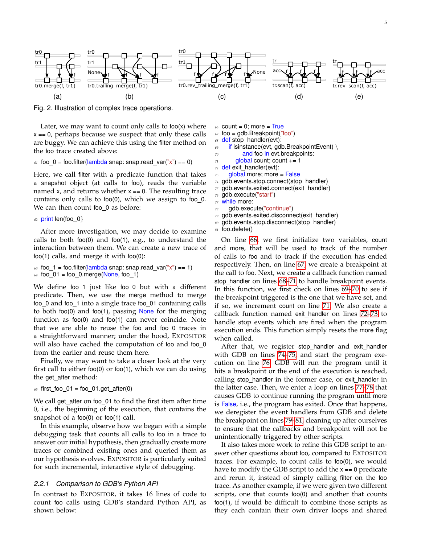<span id="page-4-0"></span>

<span id="page-4-1"></span>Fig. 2. Illustration of complex trace operations.

Later, we may want to count only calls to foo(x) where  $x == 0$ , perhaps because we suspect that only these calls are buggy. We can achieve this using the filter method on the foo trace created above:

#### $61$  foo  $0 =$  foo.filter(lambda snap: snap.read\_var("x") == 0)

Here, we call filter with a predicate function that takes a snapshot object (at calls to foo), reads the variable named  $x$ , and returns whether  $x == 0$ . The resulting trace contains only calls to foo $(0)$ , which we assign to foo $_0$ . We can then count foo\_0 as before:

62 print len(foo\_0)

After more investigation, we may decide to examine calls to both foo(0) and foo(1), e.g., to understand the interaction between them. We can create a new trace of foo(1) calls, and merge it with foo(0):

 $63$  foo<sup>1</sup> = foo.filter(lambda snap: snap.read\_var("x") == 1)  $64$  foo\_01 = foo\_0.merge(None, foo\_1)

We define foo $_1$  just like foo $_0$  but with a different predicate. Then, we use the merge method to merge foo\_0 and foo\_1 into a single trace foo\_01 containing calls to both foo(0) and foo(1), passing None for the merging function as foo(0) and foo(1) can never coincide. Note that we are able to reuse the foo and foo\_0 traces in a straightforward manner; under the hood, EXPOSITOR will also have cached the computation of foo and foo 0 from the earlier and reuse them here.

Finally, we may want to take a closer look at the very first call to either foo(0) or foo(1), which we can do using the get\_after method:

 $65$  first foo  $01 =$  foo  $01.get$  after(0)

We call get\_after on foo\_01 to find the first item after time 0, i.e., the beginning of the execution, that contains the snapshot of a foo(0) or foo(1) call.

In this example, observe how we began with a simple debugging task that counts all calls to foo in a trace to answer our initial hypothesis, then gradually create more traces or combined existing ones and queried them as our hypothesis evolves. EXPOSITOR is particularly suited for such incremental, interactive style of debugging.

#### <span id="page-4-20"></span>*2.2.1 Comparison to GDB's Python API*

In contrast to EXPOSITOR, it takes 16 lines of code to count foo calls using GDB's standard Python API, as shown below:

<span id="page-4-5"></span><span id="page-4-4"></span><span id="page-4-3"></span><span id="page-4-2"></span> $66$  count = 0; more =  $True$ 

- <span id="page-4-6"></span> $67$  foo = gdb.Breakpoint( $\sqrt[7]{100}$ )
- <span id="page-4-7"></span>*<sup>68</sup>* def stop handler(evt):
- <span id="page-4-9"></span>*<sup>69</sup>* if isinstance(evt, gdb.BreakpointEvent) \
- <span id="page-4-10"></span>*<sup>70</sup>* and foo in evt.breakpoints:
- <span id="page-4-8"></span> $71$  global count; count  $+= 1$
- <span id="page-4-11"></span>*<sup>72</sup>* def exit handler(evt):
- <span id="page-4-12"></span>*<sup>73</sup>* global more; more = False
- <span id="page-4-13"></span>*<sup>74</sup>* gdb.events.stop.connect(stop handler)
- <span id="page-4-14"></span>75 gdb.events.exited.connect(exit\_handler)
- <span id="page-4-15"></span>*<sup>76</sup>* gdb.execute("start")
- <span id="page-4-16"></span>*<sup>77</sup>* while more:
- <span id="page-4-17"></span>*<sup>78</sup>* gdb.execute("continue")
- <span id="page-4-18"></span>*<sup>79</sup>* gdb.events.exited.disconnect(exit handler)
- *<sup>80</sup>* gdb.events.stop.disconnect(stop handler)

```
81 foo.delete()
```
On line [66,](#page-4-5) we first initialize two variables, count and more, that will be used to track of the number of calls to foo and to track if the execution has ended respectively. Then, on line [67,](#page-4-6) we create a breakpoint at the call to foo. Next, we create a callback function named stop handler on lines [68](#page-4-7)[–71](#page-4-8) to handle breakpoint events. In this function, we first check on lines [69](#page-4-9)[–70](#page-4-10) to see if the breakpoint triggered is the one that we have set, and if so, we increment count on line [71.](#page-4-8) We also create a callback function named exit handler on lines [72–](#page-4-11)[73](#page-4-12) to handle stop events which are fired when the program execution ends. This function simply resets the more flag when called.

After that, we register stop\_handler and exit\_handler with GDB on lines [74–](#page-4-13)[75,](#page-4-14) and start the program execution on line [76.](#page-4-15) GDB will run the program until it hits a breakpoint or the end of the execution is reached, calling stop handler in the former case, or exit handler in the latter case. Then, we enter a loop on lines [77–](#page-4-16)[78](#page-4-17) that causes GDB to continue running the program until more is False, i.e., the program has exited. Once that happens, we deregister the event handlers from GDB and delete the breakpoint on lines [79–](#page-4-18)[81,](#page-4-19) cleaning up after ourselves to ensure that the callbacks and breakpoint will not be unintentionally triggered by other scripts.

It also takes more work to refine this GDB script to answer other questions about foo, compared to EXPOSITOR traces. For example, to count calls to foo(0), we would have to modify the GDB script to add the  $x == 0$  predicate and rerun it, instead of simply calling filter on the foo trace. As another example, if we were given two different scripts, one that counts foo(0) and another that counts foo(1), if would be difficult to combine those scripts as they each contain their own driver loops and shared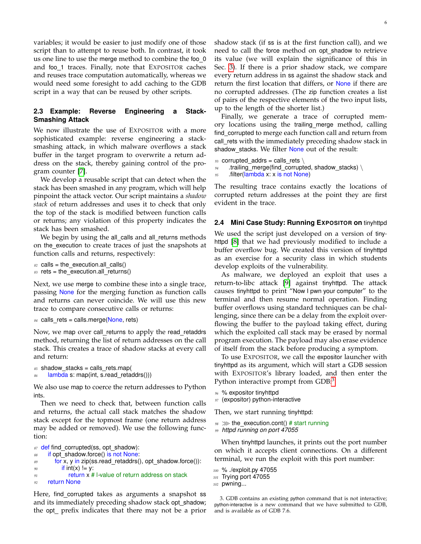variables; it would be easier to just modify one of those script than to attempt to reuse both. In contrast, it took us one line to use the merge method to combine the foo\_0 and foo\_1 traces. Finally, note that EXPOSITOR caches and reuses trace computation automatically, whereas we would need some foresight to add caching to the GDB script in a way that can be reused by other scripts.

## <span id="page-5-1"></span>**2.3 Example: Reverse Engineering a Stack-Smashing Attack**

We now illustrate the use of EXPOSITOR with a more sophisticated example: reverse engineering a stacksmashing attack, in which malware overflows a stack buffer in the target program to overwrite a return address on the stack, thereby gaining control of the program counter [\[7\]](#page-24-6).

We develop a reusable script that can detect when the stack has been smashed in any program, which will help pinpoint the attack vector. Our script maintains a *shadow stack* of return addresses and uses it to check that only the top of the stack is modified between function calls or returns; any violation of this property indicates the stack has been smashed.

We begin by using the all\_calls and all\_returns methods on the execution to create traces of just the snapshots at function calls and returns, respectively:

```
82 calls = the_execution.all_calls()
83 rets = the execution.all returns()
```
Next, we use merge to combine these into a single trace, passing None for the merging function as function calls and returns can never coincide. We will use this new trace to compare consecutive calls or returns:

```
84 calls rets = calls.merge(None, rets)
```
Now, we map over call\_returns to apply the read\_retaddrs method, returning the list of return addresses on the call stack. This creates a trace of shadow stacks at every call and return:

```
85 shadow stacks = calls rets.map(
86 lambda s: map(int, s.read retaddrs()))
```
We also use map to coerce the return addresses to Python ints.

Then we need to check that, between function calls and returns, the actual call stack matches the shadow stack except for the topmost frame (one return address may be added or removed). We use the following function:

```
87 def find corrupted(ss, opt shadow):
88 if opt shadow.force() is not None:
89 for x, y in zip(ss.read_retaddrs(), opt_shadow.force()):
90 if int(x) != y:
91 return x # l-value of return address on stack
92 return None
```
Here, find corrupted takes as arguments a snapshot ss and its immediately preceding shadow stack opt\_shadow; the opt prefix indicates that there may not be a prior

shadow stack (if ss is at the first function call), and we need to call the force method on opt\_shadow to retrieve its value (we will explain the significance of this in Sec. [3\)](#page-6-0). If there is a prior shadow stack, we compare every return address in ss against the shadow stack and return the first location that differs, or None if there are no corrupted addresses. (The zip function creates a list of pairs of the respective elements of the two input lists, up to the length of the shorter list.)

Finally, we generate a trace of corrupted memory locations using the trailing merge method, calling find corrupted to merge each function call and return from call rets with the immediately preceding shadow stack in shadow\_stacks. We filter None out of the result:

```
93 corrupted addrs = calls rets \setminus
```

```
94 .trailing_merge(find_corrupted, shadow_stacks) \
```

```
95 .filter(lambda x: x is not None)
```
The resulting trace contains exactly the locations of corrupted return addresses at the point they are first evident in the trace.

## <span id="page-5-2"></span>**2.4 Mini Case Study: Running EXPOSITOR on** tinyhttpd

We used the script just developed on a version of tinyhttpd [\[8\]](#page-24-7) that we had previously modified to include a buffer overflow bug. We created this version of tinyhttpd as an exercise for a security class in which students develop exploits of the vulnerability.

As malware, we deployed an exploit that uses a return-to-libc attack [\[9\]](#page-24-8) against tinyhttpd. The attack causes tinyhttpd to print "Now I pwn your computer" to the terminal and then resume normal operation. Finding buffer overflows using standard techniques can be challenging, since there can be a delay from the exploit overflowing the buffer to the payload taking effect, during which the exploited call stack may be erased by normal program execution. The payload may also erase evidence of itself from the stack before producing a symptom.

To use EXPOSITOR, we call the expositor launcher with tinyhttpd as its argument, which will start a GDB session with EXPOSITOR's library loaded, and then enter the Python interactive prompt from GDB:<sup>[3](#page-5-0)</sup>

*<sup>96</sup>* % expositor tinyhttpd

```
97 (expositor) python-interactive
```
Then, we start running tinyhttpd:

- *<sup>98</sup>* ≫ the execution.cont() # start running
- *<sup>99</sup> httpd running on port 47055*

When tinyhttpd launches, it prints out the port number on which it accepts client connections. On a different terminal, we run the exploit with this port number:

```
100 % ./exploit.py 47055
```

```
101 Trying port 47055
```

```
102 pwning...
```
<span id="page-5-0"></span>3. GDB contains an existing python command that is not interactive; python-interactive is a new command that we have submitted to GDB, and is available as of GDB 7.6.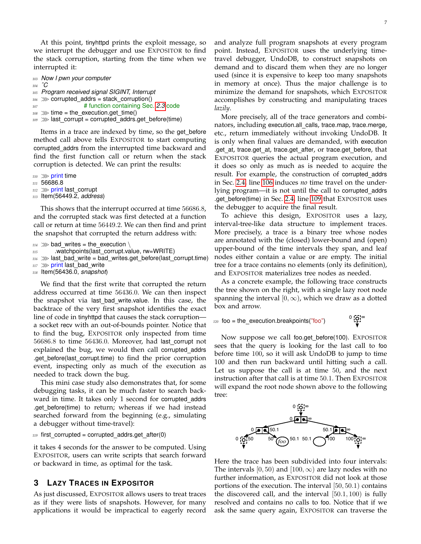At this point, tinyhttpd prints the exploit message, so we interrupt the debugger and use EXPOSITOR to find the stack corruption, starting from the time when we interrupted it:

```
103 Now I pwn your computer
104 ˆC
105 Program received signal SIGINT, Interrupt
_{106} \gg corrupted_addrs = stack_corruption()
107 # function containing Sec. 2.3 code
108 \gg \text{time} = \text{the execution.get time}()109 >>>>>> last corrupt = corrupted addrs.get before(time)
```
<span id="page-6-2"></span>Items in a trace are indexed by time, so the get before method call above tells EXPOSITOR to start computing corrupted addrs from the interrupted time backward and find the first function call or return when the stack corruption is detected. We can print the results:

```
110 ≫ print time
```

```
111 56686.8
```

```
112 ≫ print last_corrupt
```

```
113 Item(56449.2, address)
```
This shows that the interrupt occurred at time 56686.8, and the corrupted stack was first detected at a function call or return at time 56449.2. We can then find and print the snapshot that corrupted the return address with:

```
114 \gg bad writes = the execution \
```
115 .watchpoints(last\_corrupt.value, rw=WRITE)

```
116 >>>>> last_bad_write = bad_writes.get_before(last_corrupt.time)
```

```
117 ≫ print last_bad_write
```
*<sup>118</sup>* Item(56436.0, *snapshot*)

We find that the first write that corrupted the return address occurred at time 56436.0. We can then inspect the snapshot via last bad write.value. In this case, the backtrace of the very first snapshot identifies the exact line of code in tinyhttpd that causes the stack corruption a socket recv with an out-of-bounds pointer. Notice that to find the bug, EXPOSITOR only inspected from time 56686.8 to time 56436.0. Moreover, had last corrupt not explained the bug, we would then call corrupted addrs .get before(last corrupt.time) to find the prior corruption event, inspecting only as much of the execution as needed to track down the bug.

This mini case study also demonstrates that, for some debugging tasks, it can be much faster to search backward in time. It takes only 1 second for corrupted\_addrs .get before(time) to return; whereas if we had instead searched forward from the beginning (e.g., simulating a debugger without time-travel):

#### $119$  first\_corrupted = corrupted\_addrs.get\_after(0)

it takes 4 seconds for the answer to be computed. Using EXPOSITOR, users can write scripts that search forward or backward in time, as optimal for the task.

# <span id="page-6-0"></span>**3 LAZY TRACES IN EXPOSITOR**

As just discussed, EXPOSITOR allows users to treat traces as if they were lists of snapshots. However, for many applications it would be impractical to eagerly record and analyze full program snapshots at every program point. Instead, EXPOSITOR uses the underlying timetravel debugger, UndoDB, to construct snapshots on demand and to discard them when they are no longer used (since it is expensive to keep too many snapshots in memory at once). Thus the major challenge is to minimize the demand for snapshots, which EXPOSITOR accomplishes by constructing and manipulating traces *lazily*.

More precisely, all of the trace generators and combinators, including execution.all\_calls, trace.map, trace.merge, etc., return immediately without invoking UndoDB. It is only when final values are demanded, with execution .get\_at, trace.get\_at, trace.get\_after, or trace.get\_before, that EXPOSITOR queries the actual program execution, and it does so only as much as is needed to acquire the result. For example, the construction of corrupted addrs in Sec. [2.4,](#page-5-2) line [106](#page-6-1) induces *no* time travel on the underlying program—it is not until the call to corrupted addrs .get before(time) in Sec. [2.4,](#page-5-2) line [109](#page-6-2) that EXPOSITOR uses the debugger to acquire the final result.

To achieve this design, EXPOSITOR uses a lazy, interval-tree-like data structure to implement traces. More precisely, a trace is a binary tree whose nodes are annotated with the (closed) lower-bound and (open) upper-bound of the time intervals they span, and leaf nodes either contain a value or are empty. The initial tree for a trace contains no elements (only its definition), and EXPOSITOR materializes tree nodes as needed.

As a concrete example, the following trace constructs the tree shown on the right, with a single lazy root node spanning the interval  $[0, \infty)$ , which we draw as a dotted box and arrow.

*<sup>120</sup>* foo = the execution.breakpoints("foo")

```
^0 \mathbb{Q}^1 ^\infty
```
Now suppose we call foo.get before(100). EXPOSITOR sees that the query is looking for the last call to foo before time 100, so it will ask UndoDB to jump to time 100 and then run backward until hitting such a call. Let us suppose the call is at time 50, and the next instruction after that call is at time 50.1. Then EXPOSITOR will expand the root node shown above to the following tree:



Here the trace has been subdivided into four intervals: The intervals [0, 50) and [100,  $\infty$ ) are lazy nodes with no further information, as EXPOSITOR did not look at those portions of the execution. The interval [50, 50.1) contains the discovered call, and the interval  $[50.1, 100)$  is fully resolved and contains no calls to foo. Notice that if we ask the same query again, EXPOSITOR can traverse the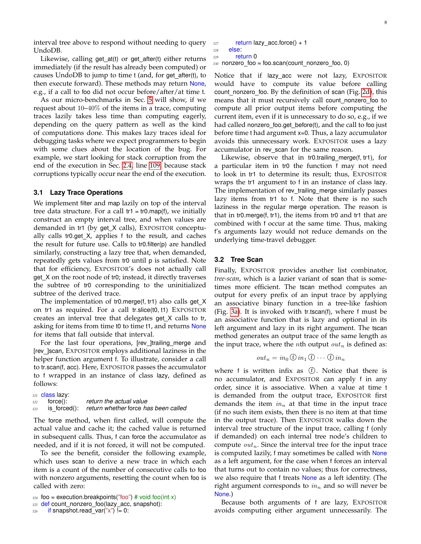interval tree above to respond without needing to query UndoDB.

Likewise, calling  $get_at(t)$  or  $get_atter(t)$  either returns immediately (if the result has already been computed) or causes UndoDB to jump to time t (and, for get\_after(t), to then execute forward). These methods may return None, e.g., if a call to foo did not occur before/after/at time t.

As our micro-benchmarks in Sec. [5](#page-17-0) will show, if we request about 10–40% of the items in a trace, computing traces lazily takes less time than computing eagerly, depending on the query pattern as well as the kind of computations done. This makes lazy traces ideal for debugging tasks where we expect programmers to begin with some clues about the location of the bug. For example, we start looking for stack corruption from the end of the execution in Sec. [2.4,](#page-5-2) line [109,](#page-6-2) because stack corruptions typically occur near the end of the execution.

#### **3.1 Lazy Trace Operations**

We implement filter and map lazily on top of the interval tree data structure. For a call  $tr1 = tr0$  map(f), we initially construct an empty interval tree, and when values are demanded in tr1 (by get X calls), EXPOSITOR conceptually calls tr0.get\_X, applies f to the result, and caches the result for future use. Calls to tr0.filter(p) are handled similarly, constructing a lazy tree that, when demanded, repeatedly gets values from tr0 until p is satisfied. Note that for efficiency, EXPOSITOR's does not actually call get X on the root node of tr0; instead, it directly traverses the subtree of tr0 corresponding to the uninitialized subtree of the derived trace.

The implementation of tr0.merge(f, tr1) also calls get\_X on tr1 as required. For a call tr.slice(t0, t1) EXPOSITOR creates an interval tree that delegates get\_X calls to tr, asking for items from time t0 to time t1, and returns None for items that fall outside that interval.

For the last four operations, [rev\_]trailing\_merge and [rev ]scan, EXPOSITOR employs additional laziness in the helper function argument f. To illustrate, consider a call to tr.scan(f, acc). Here, EXPOSITOR passes the accumulator to f wrapped in an instance of class lazy, defined as follows:

|     | 121 <b>class lazy:</b> |                                                   |
|-----|------------------------|---------------------------------------------------|
| 122 | force():               | return the actual value                           |
| 123 |                        | is forced(): return whether force has been called |

The force method, when first called, will compute the actual value and cache it; the cached value is returned in subsequent calls. Thus, f can force the accumulator as needed, and if it is not forced, it will not be computed.

To see the benefit, consider the following example, which uses scan to derive a new trace in which each item is a count of the number of consecutive calls to foo with nonzero arguments, resetting the count when foo is called with zero:

```
126 if snapshot.read_var("x") != 0:
```

```
127 return lazy_acc.force() + 1
128 else:
129 return 0
```
130 nonzero\_foo = foo.scan(count\_nonzero\_foo, 0)

Notice that if lazy acc were not lazy, EXPOSITOR would have to compute its value before calling count nonzero foo. By the definition of scan (Fig. [2d\)](#page-4-3), this means that it must recursively call count\_nonzero\_foo to compute all prior output items before computing the current item, even if it is unnecessary to do so, e.g., if we had called nonzero foo.get before(t), and the call to foo just before time t had argument x=0. Thus, a lazy accumulator avoids this unnecessary work. EXPOSITOR uses a lazy accumulator in rev scan for the same reason.

Likewise, observe that in tr0.trailing merge(f, tr1), for a particular item in tr0 the function f may not need to look in tr1 to determine its result; thus, EXPOSITOR wraps the tr1 argument to f in an instance of class lazy. The implementation of rev\_trailing\_merge similarly passes lazy items from tr1 to f. Note that there is no such laziness in the regular merge operation. The reason is that in tr0.merge(f, tr1), the items from tr0 and tr1 that are combined with f occur at the same time. Thus, making f's arguments lazy would not reduce demands on the underlying time-travel debugger.

#### <span id="page-7-0"></span>**3.2 Tree Scan**

Finally, EXPOSITOR provides another list combinator, *tree-scan*, which is a lazier variant of scan that is sometimes more efficient. The tscan method computes an output for every prefix of an input trace by applying an associative binary function in a tree-like fashion (Fig. [3a\)](#page-8-1). It is invoked with tr.tscan(f), where f must be an associative function that is lazy and optional in its left argument and lazy in its right argument. The tscan method generates an output trace of the same length as the input trace, where the *n*th output  $out_n$  is defined as:

$$
out_n = in_0 \oplus in_1 \oplus \cdots \oplus in_n
$$

where f is written infix as  $\oplus$ . Notice that there is no accumulator, and EXPOSITOR can apply f in any order, since it is associative. When a value at time t is demanded from the output trace, EXPOSITOR first demands the item  $in_n$  at that time in the input trace (if no such item exists, then there is no item at that time in the output trace). Then EXPOSITOR walks down the interval tree structure of the input trace, calling f (only if demanded) on each internal tree node's children to compute  $out_n$ . Since the interval tree for the input trace is computed lazily, f may sometimes be called with None as a left argument, for the case when f forces an interval that turns out to contain no values; thus for correctness, we also require that f treats None as a left identity. (The right argument corresponds to  $in_n$  and so will never be None.)

Because both arguments of f are lazy, EXPOSITOR avoids computing either argument unnecessarily. The

 $124$  foo = execution.breakpoints("foo") # void foo(int x)

*<sup>125</sup>* def count nonzero foo(lazy acc, snapshot):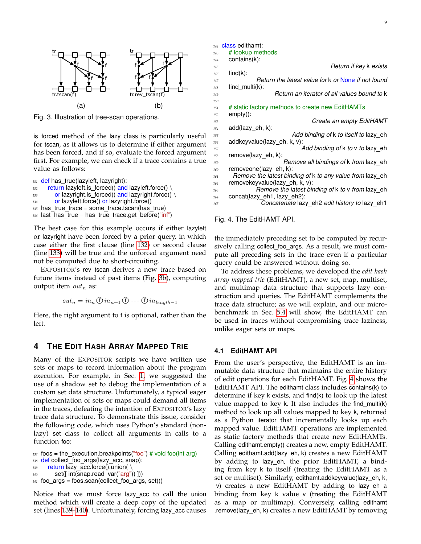<span id="page-8-2"></span>

<span id="page-8-1"></span>Fig. 3. Illustration of tree-scan operations.

is forced method of the lazy class is particularly useful for tscan, as it allows us to determine if either argument has been forced, and if so, evaluate the forced argument first. For example, we can check if a trace contains a true value as follows:

```
131 def has_true(lazyleft, lazyright):
132 return lazyleft.is_forced() and lazyleft.force() \
133 or lazyright.is_forced() and lazyright.force() \
134 or lazyleft.force() or lazyright.force()
135 has true trace = some trace.tscan(has true)
136 last_has_true = has_true_trace.get_before("inf")
```
The best case for this example occurs if either lazyleft or lazyright have been forced by a prior query, in which case either the first clause (line [132\)](#page-8-3) or second clause (line [133\)](#page-8-4) will be true and the unforced argument need not be computed due to short-circuiting.

EXPOSITOR's rev tscan derives a new trace based on future items instead of past items (Fig. [3b\)](#page-8-2), computing output item  $out_n$  as:

$$
out_n = in_n \oplus in_{n+1} \oplus \cdots \oplus in_{length-1}
$$

Here, the right argument to f is optional, rather than the left.

## <span id="page-8-0"></span>**4 THE EDIT HASH ARRAY MAPPED TRIE**

Many of the EXPOSITOR scripts we have written use sets or maps to record information about the program execution. For example, in Sec. [1,](#page-0-1) we suggested the use of a shadow set to debug the implementation of a custom set data structure. Unfortunately, a typical eager implementation of sets or maps could demand all items in the traces, defeating the intention of EXPOSITOR's lazy trace data structure. To demonstrate this issue, consider the following code, which uses Python's standard (nonlazy) set class to collect all arguments in calls to a function foo:

```
137 foos = the execution.breakpoints("foo") # void foo(int arg)
138 def collect_foo_args(lazy_acc, snap):
139 return lazy_acc.force().union(
140 set([ int(snap.read var("arg")) ]))
141 foo args = foos.scan(collect_foo_args, set())
```
Notice that we must force lazy acc to call the union method which will create a deep copy of the updated set (lines [139](#page-8-5)[–140\)](#page-8-6). Unfortunately, forcing lazy acc causes *<sup>142</sup>* class edithamt:

| 143        | # lookup methods                                          |
|------------|-----------------------------------------------------------|
| 144        | contains(k):                                              |
| 145        | Return if key k exists                                    |
| 146        | $find(k)$ :                                               |
| 147        | Return the latest value for k or None if not found        |
| 148        | find $multi(k)$ :                                         |
| 149        | Return an iterator of all values bound to k               |
| 150        |                                                           |
| 151        | # static factory methods to create new EditHAMTs          |
| 152        | empty():                                                  |
| 153        | Create an empty EditHAMT                                  |
| 154        | add(lazy eh, k):<br>Add binding of k to itself to lazy eh |
| 155        | addkeyvalue(lazy eh, k, v):                               |
| 156<br>157 | Add binding of k to v to lazy eh                          |
| 158        | remove(lazy eh, k):                                       |
| 159        | Remove all bindings of k from lazy eh                     |
| 160        | removeone(lazy eh, k):                                    |
| 161        | Remove the latest binding of k to any value from lazy eh  |
| 162        | removekeyvalue(lazy eh, k, v):                            |
| 163        | Remove the latest binding of k to y from lazy eh          |
| 164        | concat(lazy eh1, lazy eh2):                               |
| 165        | Concatenate lazy_eh2 edit history to lazy_eh1             |
|            |                                                           |

<span id="page-8-7"></span>Fig. 4. The EditHAMT API.

the immediately preceding set to be computed by recursively calling collect foo args. As a result, we must compute all preceding sets in the trace even if a particular query could be answered without doing so.

To address these problems, we developed the *edit hash array mapped trie* (EditHAMT), a new set, map, multiset, and multimap data structure that supports lazy construction and queries. The EditHAMT complements the trace data structure; as we will explain, and our microbenchmark in Sec. [5.4](#page-19-0) will show, the EditHAMT can be used in traces without compromising trace laziness, unlike eager sets or maps.

#### <span id="page-8-8"></span>**4.1 EditHAMT API**

From the user's perspective, the EditHAMT is an immutable data structure that maintains the entire history of edit operations for each EditHAMT. Fig. [4](#page-8-7) shows the EditHAMT API. The edithamt class includes contains(k) to determine if key k exists, and find(k) to look up the latest value mapped to key k. It also includes the find multi(k) method to look up all values mapped to key k, returned as a Python iterator that incrementally looks up each mapped value. EditHAMT operations are implemented as static factory methods that create new EditHAMTs. Calling edithamt.empty() creates a new, empty EditHAMT. Calling edithamt.add(lazy\_eh, k) creates a new EditHAMT by adding to lazy eh, the prior EditHAMT, a binding from key k to itself (treating the EditHAMT as a set or multiset). Similarly, edithamt.addkeyvalue(lazy\_eh, k, v) creates a new EditHAMT by adding to lazy\_eh a binding from key k value v (treating the EditHAMT as a map or multimap). Conversely, calling edithamt .remove(lazy eh, k) creates a new EditHAMT by removing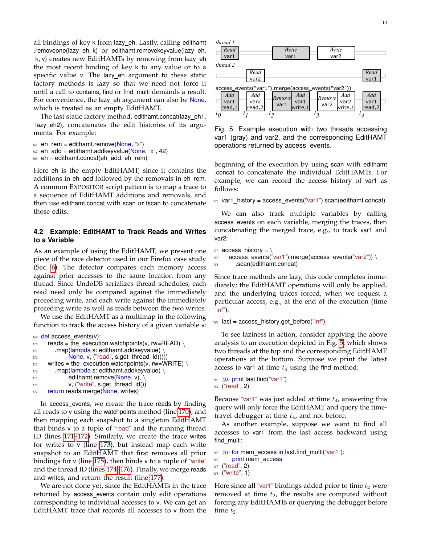all bindings of key k from lazy eh. Lastly, calling edithamt .removeone(lazy eh, k) or edithamt.removekeyvalue(lazy eh, k, v) creates new EditHAMTs by removing from lazy eh the most recent binding of key k to any value or to a specific value v. The lazy eh argument to these static factory methods is lazy so that we need not force it until a call to contains, find or find multi demands a result. For convenience, the lazy eh argument can also be None, which is treated as an empty EditHAMT.

The last static factory method, edithamt.concat(lazy\_eh1, lazy eh2), concatenates the edit histories of its arguments. For example:

```
166 eh rem = edithamt.remove(None, "x")
```

```
167 eh_add = edithamt.addkeyvalue(None, "x", 42)
```

```
168 eh = edithamt.concat(eh_add, eh_rem)
```
Here eh is the empty EditHAMT, since it contains the additions in eh\_add followed by the removals in eh\_rem. A common EXPOSITOR script pattern is to map a trace to a sequence of EditHAMT additions and removals, and then use edithamt.concat with scan or tscan to concatenate those edits.

## **4.2 Example: EditHAMT to Track Reads and Writes to a Variable**

As an example of using the EditHAMT, we present one piece of the race detector used in our Firefox case study (Sec. [6\)](#page-21-0). The detector compares each memory access against prior accesses to the same location from any thread. Since UndoDB serializes thread schedules, each read need only be compared against the immediately preceding write, and each write against the immediately preceding write as well as reads between the two writes.

We use the EditHAMT as a multimap in the following function to track the access history of a given variable v:

```
169 def access events(v):
170 reads = the_execution.watchpoints(v, rw=READ) \
171 .map(lambda s: edithamt.addkeyvalue()
172 None, v, ("read", s.get thread id())))
173 writes = the_execution.watchpoints(v, rw=WRITE) \
174 .map(lambda s: edithamt.addkeyvalue( \)
175 edithamt.remove(None, v),
176 v, ("write", s.get_thread_id())
177 return reads.merge(None, writes)
```
<span id="page-9-7"></span><span id="page-9-6"></span><span id="page-9-4"></span>In access events, we create the trace reads by finding all reads to v using the watchpoints method (line [170\)](#page-9-0), and then mapping each snapshot to a singleton EditHAMT that binds  $v$  to a tuple of "read" and the running thread ID (lines [171–](#page-9-1)[172\)](#page-9-2). Similarly, we create the trace writes for writes to v (line [173\)](#page-9-3), but instead map each write snapshot to an EditHAMT that first removes all prior bindings for v (line [175\)](#page-9-4), then binds v to a tuple of "write" and the thread ID (lines [174–](#page-9-5)[176\)](#page-9-6). Finally, we merge reads and writes, and return the result (line [177\)](#page-9-7).

We are not done yet, since the EditHAMTs in the trace returned by access\_events contain only edit operations corresponding to individual accesses to v. We can get an EditHAMT trace that records all accesses to v from the



<span id="page-9-8"></span>Fig. 5. Example execution with two threads accessing var1 (gray) and var2, and the corresponding EditHAMT operations returned by access events.

beginning of the execution by using scan with edithamt .concat to concatenate the individual EditHAMTs. For example, we can record the access history of var1 as follows:

178 var1\_history = access\_events("var1").scan(edithamt.concat)

We can also track multiple variables by calling access events on each variable, merging the traces, then concatenating the merged trace, e.g., to track var1 and var2:

```
179 access history = \
```

```
180 access_events("var1").merge(access_events("var2")) \
```

```
181 .scan(edithamt.concat)
```
Since trace methods are lazy, this code completes immediately; the EditHAMT operations will only be applied, and the underlying traces forced, when we request a particular access, e.g., at the end of the execution (time "inf"):

```
182 last = access history.get before("inf")
```
To see laziness in action, consider applying the above analysis to an execution depicted in Fig. [5,](#page-9-8) which shows two threads at the top and the corresponding EditHAMT operations at the bottom. Suppose we print the latest access to var1 at time  $t_4$  using the find method:

```
183 ≫ print last.find("var1")
184 ("read", 2)
```
Because "var1" was just added at time  $t_4$ , answering this query will only force the EditHAMT and query the timetravel debugger at time  $t_4$ , and not before.

As another example, suppose we want to find all accesses to var1 from the last access backward using find multi:

```
_{185} \gg for mem_access in last.find_multi("var1"):
```

```
186 print mem access
```

```
187 ("read", 2)
```

```
188 ("write", 1)
```
Here since all "var1" bindings added prior to time  $t_2$  were removed at time  $t_2$ , the results are computed without forcing any EditHAMTs or querying the debugger before time  $t_2$ .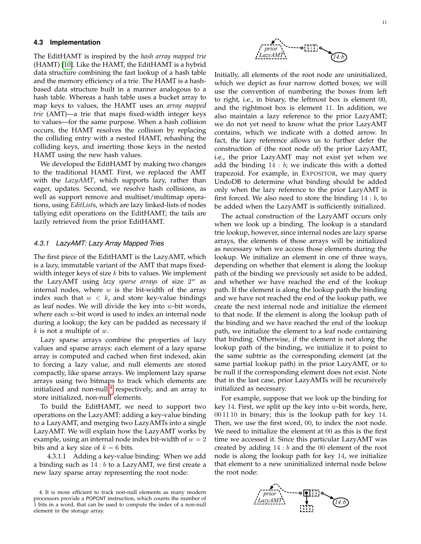#### **4.3 Implementation**

The EditHAMT is inspired by the *hash array mapped trie* (HAMT) [\[10\]](#page-24-9). Like the HAMT, the EditHAMT is a hybrid data structure combining the fast lookup of a hash table and the memory efficiency of a trie. The HAMT is a hashbased data structure built in a manner analogous to a hash table. Whereas a hash table uses a bucket array to map keys to values, the HAMT uses an *array mapped trie* (AMT)—a trie that maps fixed-width integer keys to values—for the same purpose. When a hash collision occurs, the HAMT resolves the collision by replacing the colliding entry with a nested HAMT, rehashing the colliding keys, and inserting those keys in the nested HAMT using the new hash values.

We developed the EditHAMT by making two changes to the traditional HAMT. First, we replaced the AMT with the *LazyAMT*, which supports lazy, rather than eager, updates. Second, we resolve hash collisions, as well as support remove and multiset/multimap operations, using *EditList*s, which are lazy linked-lists of nodes tallying edit operations on the EditHAMT; the tails are lazily retrieved from the prior EditHAMT.

#### *4.3.1 LazyAMT: Lazy Array Mapped Tries*

The first piece of the EditHAMT is the LazyAMT, which is a lazy, immutable variant of the AMT that maps fixedwidth integer keys of size  $k$  bits to values. We implement the LazyAMT using *lazy sparse arrays* of size 2 <sup>w</sup> as internal nodes, where  $w$  is the bit-width of the array index such that  $w < k$ , and store key-value bindings as leaf nodes. We will divide the key into  $w$ -bit words, where each  $w$ -bit word is used to index an internal node during a lookup; the key can be padded as necessary if  $k$  is not a multiple of  $w$ .

Lazy sparse arrays combine the properties of lazy values and sparse arrays: each element of a lazy sparse array is computed and cached when first indexed, akin to forcing a lazy value, and null elements are stored compactly, like sparse arrays. We implement lazy sparse arrays using two bitmaps to track which elements are initialized and non-null, $4$  respectively, and an array to store initialized, non-null elements.

To build the EditHAMT, we need to support two operations on the LazyAMT: adding a key-value binding to a LazyAMT, and merging two LazyAMTs into a single LazyAMT. We will explain how the LazyAMT works by example, using an internal node index bit-width of  $w = 2$ bits and a key size of  $k = 6$  bits.

4.3.1.1 Adding a key-value binding: When we add a binding such as  $14:b$  to a LazyAMT, we first create a new lazy sparse array representing the root node:



Initially, all elements of the root node are uninitialized, which we depict as four narrow dotted boxes; we will use the convention of numbering the boxes from left to right, i.e., in binary, the leftmost box is element 00, and the rightmost box is element 11. In addition, we also maintain a lazy reference to the prior LazyAMT; we do not yet need to know what the prior LazyAMT contains, which we indicate with a dotted arrow. In fact, the lazy reference allows us to further defer the construction of (the root node of) the prior LazyAMT, i.e., the prior LazyAMT may not exist yet when we add the binding  $14 : b$ ; we indicate this with a dotted trapezoid. For example, in EXPOSITOR, we may query UndoDB to determine what binding should be added only when the lazy reference to the prior LazyAMT is first forced. We also need to store the binding  $14 : b$ , to be added when the LazyAMT is sufficiently initialized.

The actual construction of the LazyAMT occurs only when we look up a binding. The lookup is a standard trie lookup, however, since internal nodes are lazy sparse arrays, the elements of those arrays will be initialized as necessary when we access those elements during the lookup. We initialize an element in one of three ways, depending on whether that element is along the lookup path of the binding we previously set aside to be added, and whether we have reached the end of the lookup path. If the element is along the lookup path the binding and we have not reached the end of the lookup path, we create the next internal node and initialize the element to that node. If the element is along the lookup path of the binding and we have reached the end of the lookup path, we initialize the element to a leaf node containing that binding. Otherwise, if the element is not along the lookup path of the binding, we initialize it to point to the same subtrie as the corresponding element (at the same partial lookup path) in the prior LazyAMT, or to be null if the corresponding element does not exist. Note that in the last case, prior LazyAMTs will be recursively initialized as necessary.

For example, suppose that we look up the binding for key 14. First, we split up the key into  $w$ -bit words, here, 00 11 10 in binary; this is the lookup path for key 14. Then, we use the first word, 00, to index the root node. We need to initialize the element at 00 as this is the first time we accessed it. Since this particular LazyAMT was created by adding  $14 : b$  and the 00 element of the root node is along the lookup path for key 14, we initialize that element to a new uninitialized internal node below the root node:



<span id="page-10-0"></span><sup>4.</sup> It is more efficient to track non-null elements as many modern processors provide a POPCNT instruction, which counts the number of 1 bits in a word, that can be used to compute the index of a non-null element in the storage array.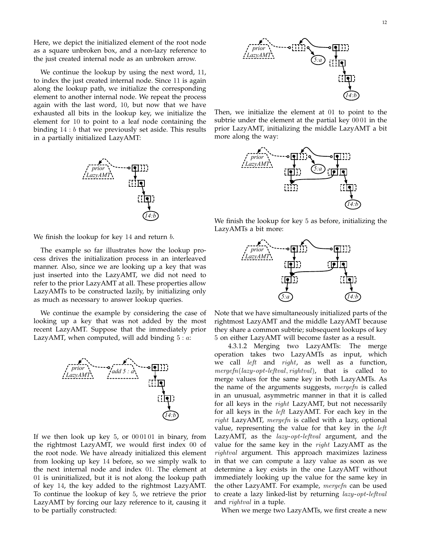Here, we depict the initialized element of the root node as a square unbroken box, and a non-lazy reference to the just created internal node as an unbroken arrow.

We continue the lookup by using the next word, 11, to index the just created internal node. Since 11 is again along the lookup path, we initialize the corresponding element to another internal node. We repeat the process again with the last word, 10, but now that we have exhausted all bits in the lookup key, we initialize the element for 10 to point to a leaf node containing the binding  $14:b$  that we previously set aside. This results in a partially initialized LazyAMT:



We finish the lookup for key  $14$  and return  $b$ .

The example so far illustrates how the lookup process drives the initialization process in an interleaved manner. Also, since we are looking up a key that was just inserted into the LazyAMT, we did not need to refer to the prior LazyAMT at all. These properties allow LazyAMTs to be constructed lazily, by initializing only as much as necessary to answer lookup queries.

We continue the example by considering the case of looking up a key that was not added by the most recent LazyAMT. Suppose that the immediately prior LazyAMT, when computed, will add binding  $5 : a$ :



If we then look up key  $5$ , or  $000101$  in binary, from the rightmost LazyAMT, we would first index 00 of the root node. We have already initialized this element from looking up key 14 before, so we simply walk to the next internal node and index 01. The element at 01 is uninitialized, but it is not along the lookup path of key 14, the key added to the rightmost LazyAMT. To continue the lookup of key 5, we retrieve the prior LazyAMT by forcing our lazy reference to it, causing it to be partially constructed:



Then, we initialize the element at 01 to point to the subtrie under the element at the partial key 00 01 in the prior LazyAMT, initializing the middle LazyAMT a bit more along the way:



We finish the lookup for key 5 as before, initializing the LazyAMTs a bit more:



Note that we have simultaneously initialized parts of the rightmost LazyAMT and the middle LazyAMT because they share a common subtrie; subsequent lookups of key 5 on either LazyAMT will become faster as a result.

4.3.1.2 Merging two LazyAMTs: The merge operation takes two LazyAMTs as input, which we call left and right, as well as a function,  $mergefn(lazy-opt-leftval, rightval),$  that is called to merge values for the same key in both LazyAMTs. As the name of the arguments suggests, mergefn is called in an unusual, asymmetric manner in that it is called for all keys in the *right* LazyAMT, but not necessarily for all keys in the left LazyAMT. For each key in the  $right$  LazyAMT, mergefn is called with a lazy, optional value, representing the value for that key in the  $left$ LazyAMT, as the *lazy-opt-leftval* argument, and the value for the same key in the  $right$  LazyAMT as the rightval argument. This approach maximizes laziness in that we can compute a lazy value as soon as we determine a key exists in the one LazyAMT without immediately looking up the value for the same key in the other LazyAMT. For example, *mergefn* can be used to create a lazy linked-list by returning lazy-opt-leftval and rightval in a tuple.

When we merge two LazyAMTs, we first create a new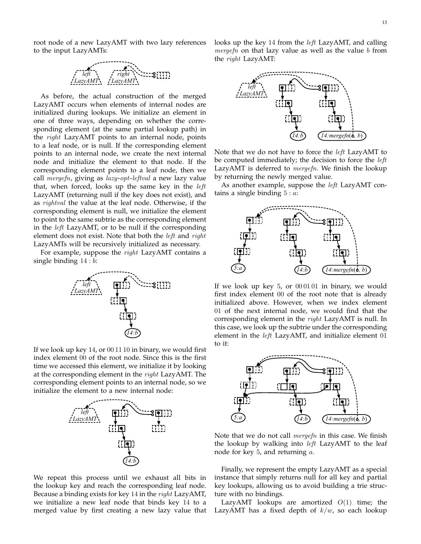root node of a new LazyAMT with two lazy references to the input LazyAMTs:



As before, the actual construction of the merged LazyAMT occurs when elements of internal nodes are initialized during lookups. We initialize an element in one of three ways, depending on whether the corresponding element (at the same partial lookup path) in the *right* LazyAMT points to an internal node, points to a leaf node, or is null. If the corresponding element points to an internal node, we create the next internal node and initialize the element to that node. If the corresponding element points to a leaf node, then we call mergefn, giving as  $lazy-opt-leftval$  a new lazy value that, when forced, looks up the same key in the left LazyAMT (returning null if the key does not exist), and as rightval the value at the leaf node. Otherwise, if the corresponding element is null, we initialize the element to point to the same subtrie as the corresponding element in the left LazyAMT, or to be null if the corresponding element does not exist. Note that both the *left* and *right* LazyAMTs will be recursively initialized as necessary.

For example, suppose the right LazyAMT contains a single binding 14 : b:



If we look up key 14, or 00 11 10 in binary, we would first index element 00 of the root node. Since this is the first time we accessed this element, we initialize it by looking at the corresponding element in the right LazyAMT. The corresponding element points to an internal node, so we initialize the element to a new internal node:



We repeat this process until we exhaust all bits in the lookup key and reach the corresponding leaf node. Because a binding exists for key 14 in the right LazyAMT, we initialize a new leaf node that binds key 14 to a merged value by first creating a new lazy value that

looks up the key 14 from the left LazyAMT, and calling mergefn on that lazy value as well as the value  $b$  from the  $right$  LazyAMT:



Note that we do not have to force the left LazyAMT to be computed immediately; the decision to force the left LazyAMT is deferred to *mergefn*. We finish the lookup by returning the newly merged value.

As another example, suppose the *left* LazyAMT contains a single binding  $5 : a$ :



If we look up key  $5$ , or  $000101$  in binary, we would first index element 00 of the root note that is already initialized above. However, when we index element 01 of the next internal node, we would find that the corresponding element in the right LazyAMT is null. In this case, we look up the subtrie under the corresponding element in the left LazyAMT, and initialize element 01 to it:



Note that we do not call mergefn in this case. We finish the lookup by walking into  $left$  LazyAMT to the leaf node for key 5, and returning a.

Finally, we represent the empty LazyAMT as a special instance that simply returns null for all key and partial key lookups, allowing us to avoid building a trie structure with no bindings.

LazyAMT lookups are amortized  $O(1)$  time; the LazyAMT has a fixed depth of  $k/w$ , so each lookup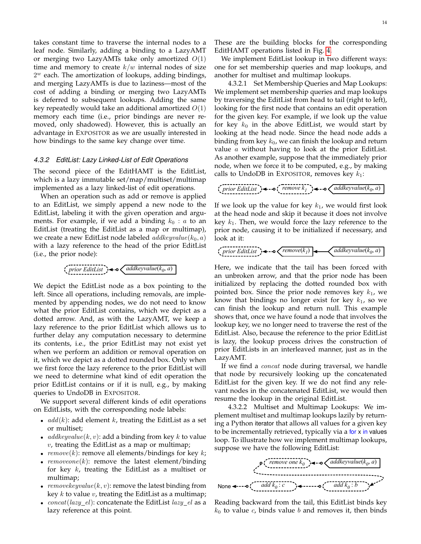takes constant time to traverse the internal nodes to a leaf node. Similarly, adding a binding to a LazyAMT or merging two LazyAMTs take only amortized  $O(1)$ time and memory to create  $k/w$  internal nodes of size  $2^w$  each. The amortization of lookups, adding bindings, and merging LazyAMTs is due to laziness—most of the cost of adding a binding or merging two LazyAMTs is deferred to subsequent lookups. Adding the same key repeatedly would take an additional amortized  $O(1)$ memory each time (i.e., prior bindings are never removed, only shadowed). However, this is actually an advantage in EXPOSITOR as we are usually interested in how bindings to the same key change over time.

#### *4.3.2 EditList: Lazy Linked-List of Edit Operations*

The second piece of the EditHAMT is the EditList, which is a lazy immutable set/map/multiset/multimap implemented as a lazy linked-list of edit operations.

When an operation such as add or remove is applied to an EditList, we simply append a new node to the EditList, labeling it with the given operation and arguments. For example, if we add a binding  $k_0 : a$  to an EditList (treating the EditList as a map or multimap), we create a new EditList node labeled  $addkeyvalue(k_0, a)$ with a lazy reference to the head of the prior EditList (i.e., the prior node):

$$
(\text{prior EditList}) \triangleleft \text{oddkeyvalue}(k_0, a)
$$

We depict the EditList node as a box pointing to the left. Since all operations, including removals, are implemented by appending nodes, we do not need to know what the prior EditList contains, which we depict as a dotted arrow. And, as with the LazyAMT, we keep a lazy reference to the prior EditList which allows us to further delay any computation necessary to determine its contents, i.e., the prior EditList may not exist yet when we perform an addition or removal operation on it, which we depict as a dotted rounded box. Only when we first force the lazy reference to the prior EditList will we need to determine what kind of edit operation the prior EditList contains or if it is null, e.g., by making queries to UndoDB in EXPOSITOR.

We support several different kinds of edit operations on EditLists, with the corresponding node labels:

- $add(k)$ : add element k, treating the EditList as a set or multiset;
- $addkeyvalue(k, v)$ : add a binding from key k to value  $v$ , treating the EditList as a map or multimap;
- $remove(k)$ : remove all elements/bindings for key k;
- $removeone(k)$ : remove the latest element/binding for key  $k$ , treating the EditList as a multiset or multimap;
- removekeyvalue( $k, v$ ): remove the latest binding from key  $k$  to value  $v$ , treating the EditList as a multimap;
- $concat(lazy\_el)$ : concatenate the EditList  $lazy\_el$  as a lazy reference at this point.

These are the building blocks for the corresponding EditHAMT operations listed in Fig. [4.](#page-8-7)

We implement EditList lookup in two different ways: one for set membership queries and map lookups, and another for multiset and multimap lookups.

4.3.2.1 Set Membership Queries and Map Lookups: We implement set membership queries and map lookups by traversing the EditList from head to tail (right to left), looking for the first node that contains an edit operation for the given key. For example, if we look up the value for key  $k_0$  in the above EditList, we would start by looking at the head node. Since the head node adds a binding from key  $k_0$ , we can finish the lookup and return value a without having to look at the prior EditList. As another example, suppose that the immediately prior node, when we force it to be computed, e.g., by making calls to UndoDB in EXPOSITOR, removes key  $k_1$ :

$$
\left(\text{prior Edition}\right) \leftarrow -\mathbf{o} \left(\text{remove } k_1\right) \leftarrow -\mathbf{o} \left(\text{addkeyvalue}(k_0, a)\right)
$$

If we look up the value for key  $k_1$ , we would first look at the head node and skip it because it does not involve key  $k_1$ . Then, we would force the lazy reference to the prior node, causing it to be initialized if necessary, and look at it:

*prior EditList addkeyvalue*(*k 0 remove*(*k* , *a*) *1* )

Here, we indicate that the tail has been forced with an unbroken arrow, and that the prior node has been initialized by replacing the dotted rounded box with pointed box. Since the prior node removes key  $k_1$ , we know that bindings no longer exist for key  $k_1$ , so we can finish the lookup and return null. This example shows that, once we have found a node that involves the lookup key, we no longer need to traverse the rest of the EditList. Also, because the reference to the prior EditList is lazy, the lookup process drives the construction of prior EditLists in an interleaved manner, just as in the LazyAMT.

If we find a concat node during traversal, we handle that node by recursively looking up the concatenated EditList for the given key. If we do not find any relevant nodes in the concatenated EditList, we would then resume the lookup in the original EditList.

4.3.2.2 Multiset and Multimap Lookups: We implement multiset and multimap lookups lazily by returning a Python iterator that allows all values for a given key to be incrementally retrieved, typically via a for x in values loop. To illustrate how we implement multimap lookups, suppose we have the following EditList:



Reading backward from the tail, this EditList binds key  $k_0$  to value c, binds value b and removes it, then binds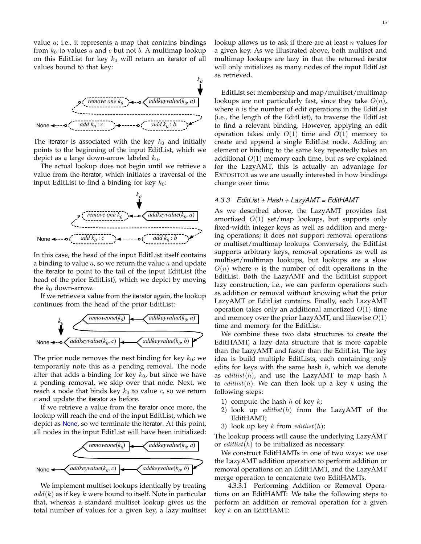value  $a$ ; i.e., it represents a map that contains bindings from  $k_0$  to values a and c but not b. A multimap lookup on this EditList for key  $k_0$  will return an iterator of all values bound to that key:



The iterator is associated with the key  $k_0$  and initially points to the beginning of the input EditList, which we depict as a large down-arrow labeled  $k_0$ .

The actual lookup does not begin until we retrieve a value from the iterator, which initiates a traversal of the input EditList to find a binding for key  $k_0$ :



In this case, the head of the input EditList itself contains a binding to value  $a$ , so we return the value  $a$  and update the iterator to point to the tail of the input EditList (the head of the prior EditList), which we depict by moving the  $k_0$  down-arrow.

If we retrieve a value from the iterator again, the lookup continues from the head of the prior EditList:



The prior node removes the next binding for key  $k_0$ ; we temporarily note this as a pending removal. The node after that adds a binding for key  $k_0$ , but since we have a pending removal, we skip over that node. Next, we reach a node that binds key  $k_0$  to value c, so we return  $c$  and update the iterator as before.

If we retrieve a value from the iterator once more, the lookup will reach the end of the input EditList, which we depict as None, so we terminate the iterator. At this point, all nodes in the input EditList will have been initialized:



We implement multiset lookups identically by treating  $add(k)$  as if key k were bound to itself. Note in particular that, whereas a standard multiset lookup gives us the total number of values for a given key, a lazy multiset lookup allows us to ask if there are at least  $n$  values for a given key. As we illustrated above, both multiset and multimap lookups are lazy in that the returned iterator will only initializes as many nodes of the input EditList as retrieved.

EditList set membership and map/multiset/multimap lookups are not particularly fast, since they take  $O(n)$ , where  $n$  is the number of edit operations in the EditList (i.e., the length of the EditList), to traverse the EditList to find a relevant binding. However, applying an edit operation takes only  $O(1)$  time and  $O(1)$  memory to create and append a single EditList node. Adding an element or binding to the same key repeatedly takes an additional  $O(1)$  memory each time, but as we explained for the LazyAMT, this is actually an advantage for EXPOSITOR as we are usually interested in how bindings change over time.

## *4.3.3 EditList + Hash + LazyAMT = EditHAMT*

As we described above, the LazyAMT provides fast amortized  $O(1)$  set/map lookups, but supports only fixed-width integer keys as well as addition and merging operations; it does not support removal operations or multiset/multimap lookups. Conversely, the EditList supports arbitrary keys, removal operations as well as multiset/multimap lookups, but lookups are a slow  $O(n)$  where *n* is the number of edit operations in the EditList. Both the LazyAMT and the EditList support lazy construction, i.e., we can perform operations such as addition or removal without knowing what the prior LazyAMT or EditList contains. Finally, each LazyAMT operation takes only an additional amortized  $O(1)$  time and memory over the prior LazyAMT, and likewise  $O(1)$ time and memory for the EditList.

We combine these two data structures to create the EditHAMT, a lazy data structure that is more capable than the LazyAMT and faster than the EditList. The key idea is build multiple EditLists, each containing only edits for keys with the same hash  $h$ , which we denote as *editlist*(h), and use the LazyAMT to map hash h to *editlist*(h). We can then look up a key k using the following steps:

- 1) compute the hash  $h$  of key  $k$ ;
- 2) look up  $editlist(h)$  from the LazyAMT of the EditHAMT;
- 3) look up key  $k$  from  $\text{editlist}(h)$ ;

The lookup process will cause the underlying LazyAMT or  $editlist(h)$  to be initialized as necessary.

We construct EditHAMTs in one of two ways: we use the LazyAMT addition operation to perform addition or removal operations on an EditHAMT, and the LazyAMT merge operation to concatenate two EditHAMTs.

4.3.3.1 Performing Addition or Removal Operations on an EditHAMT: We take the following steps to perform an addition or removal operation for a given key  $k$  on an EditHAMT: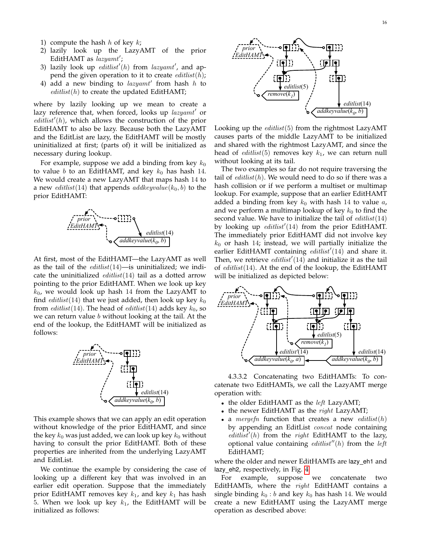- 1) compute the hash  $h$  of key  $k$ ;
- 2) lazily look up the LazyAMT of the prior EditHAMT as  $_{lazyamt}$ ';
- 3) lazily look up  $\text{editlist}'(h)$  from lazyamt', and append the given operation to it to create  $\epsilon \text{d} t \text{d} t \text{d} t$ ;
- 4) add a new binding to lazyamt' from hash h to  $editlist(h)$  to create the updated EditHAMT;

where by lazily looking up we mean to create a lazy reference that, when forced, looks up lazyamt' or  $editlist'(h)$ , which allows the construction of the prior EditHAMT to also be lazy. Because both the LazyAMT and the EditList are lazy, the EditHAMT will be mostly uninitialized at first; (parts of) it will be initialized as necessary during lookup.

For example, suppose we add a binding from key  $k_0$ to value b to an EditHAMT, and key  $k_0$  has hash 14. We would create a new LazyAMT that maps hash 14 to a new *editlist*(14) that appends *addkeyvalue*( $k_0$ , *b*) to the prior EditHAMT:



At first, most of the EditHAMT—the LazyAMT as well as the tail of the  $editlist(14)$ —is uninitialized; we indicate the uninitialized  $editlist(14)$  tail as a dotted arrow pointing to the prior EditHAMT. When we look up key  $k_0$ , we would look up hash 14 from the LazyAMT to find *editlist*(14) that we just added, then look up key  $k_0$ from *editlist*(14). The head of *editlist*(14) adds key  $k_0$ , so we can return value  $b$  without looking at the tail. At the end of the lookup, the EditHAMT will be initialized as follows:



This example shows that we can apply an edit operation without knowledge of the prior EditHAMT, and since the key  $k_0$  was just added, we can look up key  $k_0$  without having to consult the prior EditHAMT. Both of these properties are inherited from the underlying LazyAMT and EditList.

We continue the example by considering the case of looking up a different key that was involved in an earlier edit operation. Suppose that the immediately prior EditHAMT removes key  $k_1$ , and key  $k_1$  has hash 5. When we look up key  $k_1$ , the EditHAMT will be initialized as follows:



Looking up the  $editlist(5)$  from the rightmost LazyAMT causes parts of the middle LazyAMT to be initialized and shared with the rightmost LazyAMT, and since the head of *editlist*(5) removes key  $k_1$ , we can return null without looking at its tail.

The two examples so far do not require traversing the tail of  $editlist(h)$ . We would need to do so if there was a hash collision or if we perform a multiset or multimap lookup. For example, suppose that an earlier EditHAMT added a binding from key  $k_0$  with hash 14 to value  $a$ , and we perform a multimap lookup of key  $k_0$  to find the second value. We have to initialize the tail of  $editlist(14)$ by looking up  $\ell$  *editlist'* (14) from the prior EditHAMT. The immediately prior EditHAMT did not involve key  $k_0$  or hash 14; instead, we will partially initialize the earlier EditHAMT containing  $editlist'(14)$  and share it. Then, we retrieve  $\ell = \ell'$  and initialize it as the tail of  $editlist(14)$ . At the end of the lookup, the EditHAMT will be initialized as depicted below:



4.3.3.2 Concatenating two EditHAMTs: To concatenate two EditHAMTs, we call the LazyAMT merge operation with:

- the older EditHAMT as the *left* LazyAMT;
- the newer EditHAMT as the  $right$  LazyAMT;
- a *mergefn* function that creates a new *editlist*( $h$ ) by appending an EditList *concat* node containing  $editlist'(h)$  from the right EditHAMT to the lazy, optional value containing  $editlist''(h)$  from the *left* EditHAMT;

where the older and newer EditHAMTs are lazy eh1 and lazy\_eh2, respectively, in Fig. [4.](#page-8-7)

For example, suppose we concatenate two EditHAMTs, where the  $right$  EditHAMT contains a single binding  $k_0 : b$  and key  $k_0$  has hash 14. We would create a new EditHAMT using the LazyAMT merge operation as described above: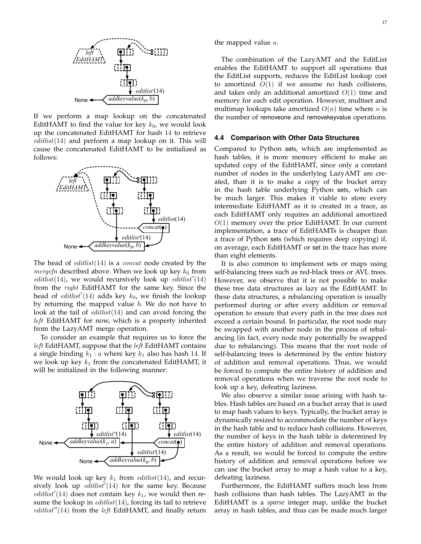

If we perform a map lookup on the concatenated EditHAMT to find the value for key  $k_0$ , we would look up the concatenated EditHAMT for hash 14 to retrieve  $editlist(14)$  and perform a map lookup on it. This will cause the concatenated EditHAMT to be initialized as follows:



The head of  $editlist(14)$  is a *concat* node created by the *mergefn* described above. When we look up key  $k_0$  from editlist(14), we would recursively look up editlist'(14) from the right EditHAMT for the same key. Since the head of  $editlist'(14)$  adds key  $k_0$ , we finish the lookup by returning the mapped value  $b$ . We do not have to look at the tail of  $\text{editlist}(14)$  and can avoid forcing the left EditHAMT for now, which is a property inherited from the LazyAMT merge operation.

To consider an example that requires us to force the left EditHAMT, suppose that the *left* EditHAMT contains a single binding  $k_1 : a$  where key  $k_1$  also has hash 14. If we look up key  $k_1$  from the concatenated EditHAMT, it will be initialized in the following manner:



We would look up key  $k_1$  from  $\text{editlist}(14)$ , and recursively look up  $editlist'(14)$  for the same key. Because editlist'(14) does not contain key  $k_1$ , we would then resume the lookup in  $editlist(14)$ , forcing its tail to retrieve  $editlist''(14)$  from the *left* EditHAMT, and finally return

the mapped value  $a$ .

The combination of the LazyAMT and the EditList enables the EditHAMT to support all operations that the EditList supports, reduces the EditList lookup cost to amortized  $O(1)$  if we assume no hash collisions, and takes only an additional amortized  $O(1)$  time and memory for each edit operation. However, multiset and multimap lookups take amortized  $O(n)$  time where *n* is the number of removeone and removekeyvalue operations.

#### **4.4 Comparison with Other Data Structures**

Compared to Python sets, which are implemented as hash tables, it is more memory efficient to make an updated copy of the EditHAMT, since only a constant number of nodes in the underlying LazyAMT are created, than it is to make a copy of the bucket array in the hash table underlying Python sets, which can be much larger. This makes it viable to store every intermediate EditHAMT as it is created in a trace, as each EditHAMT only requires an additional amortized  $O(1)$  memory over the prior EditHAMT. In our current implementation, a trace of EditHAMTs is cheaper than a trace of Python sets (which requires deep copying) if, on average, each EditHAMT or set in the trace has more than eight elements.

It is also common to implement sets or maps using self-balancing trees such as red-black trees or AVL trees. However, we observe that it is not possible to make these tree data structures as lazy as the EditHAMT. In these data structures, a rebalancing operation is usually performed during or after every addition or removal operation to ensure that every path in the tree does not exceed a certain bound. In particular, the root node may be swapped with another node in the process of rebalancing (in fact, every node may potentially be swapped due to rebalancing). This means that the root node of self-balancing trees is determined by the entire history of addition and removal operations. Thus, we would be forced to compute the entire history of addition and removal operations when we traverse the root node to look up a key, defeating laziness.

We also observe a similar issue arising with hash tables. Hash tables are based on a bucket array that is used to map hash values to keys. Typically, the bucket array is dynamically resized to accommodate the number of keys in the hash table and to reduce hash collisions. However, the number of keys in the hash table is determined by the entire history of addition and removal operations. As a result, we would be forced to compute the entire history of addition and removal operations before we can use the bucket array to map a hash value to a key, defeating laziness.

Furthermore, the EditHAMT suffers much less from hash collisions than hash tables. The LazyAMT in the EditHAMT is a *sparse* integer map, unlike the bucket array in hash tables, and thus can be made much larger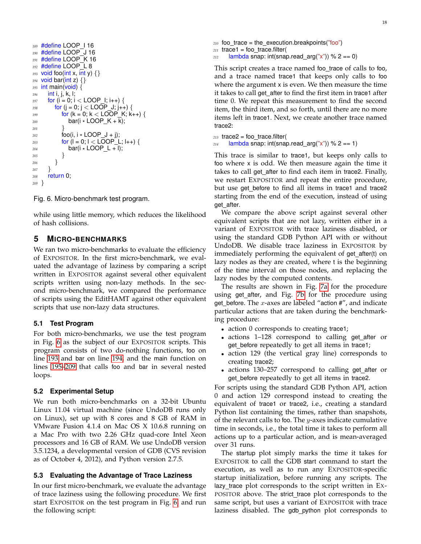```
189 #define LOOP I 16
190 #define LOOP J 16
191 #define LOOP_K 16
192 #define LOOP L 8
193 void foo(int x, int y) {}
194 void bar(int z) {}
195 int main(void) {
196 int i, j, k, l;
197 for (i = 0; i < LOOP_i; i++) {
198 for (i = 0; j < LOOP J; j + +) {
199 for (k = 0; k < LOOP_K; k++) {
200 bar(i * LOOP<sub>K</sub> + k);
201 }
202 \qquad \qquad \text{foo}(i, i \times \text{LOOP}_J + j);203 for (I = 0; I < LOOP_L; I++) {
204 bar(i * LOOP_L + l);
205 }
206 }
207 }
208 return 0;
209 }
```
<span id="page-17-5"></span><span id="page-17-1"></span>Fig. 6. Micro-benchmark test program.

while using little memory, which reduces the likelihood of hash collisions.

## <span id="page-17-0"></span>**5 MICRO-BENCHMARKS**

We ran two micro-benchmarks to evaluate the efficiency of EXPOSITOR. In the first micro-benchmark, we evaluated the advantage of laziness by comparing a script written in EXPOSITOR against several other equivalent scripts written using non-lazy methods. In the second micro-benchmark, we compared the performance of scripts using the EditHAMT against other equivalent scripts that use non-lazy data structures.

#### <span id="page-17-7"></span>**5.1 Test Program**

For both micro-benchmarks, we use the test program in Fig. [6](#page-17-1) as the subject of our EXPOSITOR scripts. This program consists of two do-nothing functions, foo on line [193](#page-17-2) and bar on line [194,](#page-17-3) and the main function on lines [195–](#page-17-4)[209](#page-17-5) that calls foo and bar in several nested loops.

#### **5.2 Experimental Setup**

We run both micro-benchmarks on a 32-bit Ubuntu Linux 11.04 virtual machine (since UndoDB runs only on Linux), set up with 8 cores and 8 GB of RAM in VMware Fusion 4.1.4 on Mac OS X 10.6.8 running on a Mac Pro with two 2.26 GHz quad-core Intel Xeon processors and 16 GB of RAM. We use UndoDB version 3.5.1234, a developmental version of GDB (CVS revision as of October 4, 2012), and Python version 2.7.5.

#### <span id="page-17-6"></span>**5.3 Evaluating the Advantage of Trace Laziness**

In our first micro-benchmark, we evaluate the advantage of trace laziness using the following procedure. We first start EXPOSITOR on the test program in Fig. [6,](#page-17-1) and run the following script:

*<sup>210</sup>* foo trace = the execution.breakpoints("foo")  $_{211}$  trace1 = foo\_trace.filter(  $212$  lambda snap: int(snap.read\_arg("x")) % 2 == 0)

This script creates a trace named foo\_trace of calls to foo, and a trace named trace1 that keeps only calls to foo where the argument x is even. We then measure the time it takes to call get\_after to find the first item in trace1 after time 0. We repeat this measurement to find the second item, the third item, and so forth, until there are no more items left in trace1. Next, we create another trace named trace2:

```
213 trace2 = foo_trace.filter(
214 lambda snap: int(snap.read_arg("x")) % 2 == 1)
```
This trace is similar to trace1, but keeps only calls to foo where x is odd. We then measure again the time it takes to call get after to find each item in trace2. Finally, we restart EXPOSITOR and repeat the entire procedure, but use get before to find all items in trace1 and trace2 starting from the end of the execution, instead of using get after.

We compare the above script against several other equivalent scripts that are not lazy, written either in a variant of EXPOSITOR with trace laziness disabled, or using the standard GDB Python API with or without UndoDB. We disable trace laziness in EXPOSITOR by immediately performing the equivalent of get\_after(t) on lazy nodes as they are created, where t is the beginning of the time interval on those nodes, and replacing the lazy nodes by the computed contents.

The results are shown in Fig. [7a](#page-18-0) for the procedure using get\_after, and Fig. [7b](#page-18-1) for the procedure using get before. The  $x$ -axes are labeled "action  $\#$ ", and indicate particular actions that are taken during the benchmarking procedure:

- action 0 corresponds to creating trace1;
- actions 1–128 correspond to calling get after or get before repeatedly to get all items in trace1;
- action 129 (the vertical gray line) corresponds to creating trace2;
- actions 130–257 correspond to calling get after or get before repeatedly to get all items in trace2.

For scripts using the standard GDB Python API, action 0 and action 129 correspond instead to creating the equivalent of trace1 or trace2, i.e., creating a standard Python list containing the times, rather than snapshots, of the relevant calls to foo. The  $y$ -axes indicate cumulative time in seconds, i.e., the total time it takes to perform all actions up to a particular action, and is mean-averaged over 31 runs.

The startup plot simply marks the time it takes for EXPOSITOR to call the GDB start command to start the execution, as well as to run any EXPOSITOR-specific startup initialization, before running any scripts. The lazy\_trace plot corresponds to the script written in Ex-POSITOR above. The strict\_trace plot corresponds to the same script, but uses a variant of EXPOSITOR with trace laziness disabled. The gdb python plot corresponds to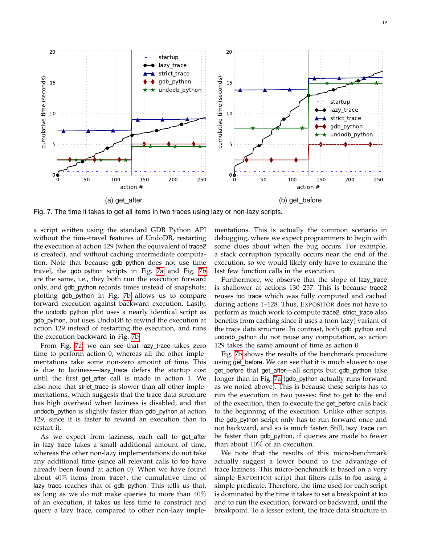

<span id="page-18-0"></span>Fig. 7. The time it takes to get all items in two traces using lazy or non-lazy scripts.

a script written using the standard GDB Python API without the time-travel features of UndoDB, restarting the execution at action 129 (when the equivalent of trace2 is created), and without caching intermediate computation. Note that because gdb python does not use time travel, the gdb python scripts in Fig. [7a](#page-18-0) and Fig. [7b](#page-18-1) are the same, i.e., they both run the execution forward only, and gdb python records times instead of snapshots; plotting gdb python in Fig. [7b](#page-18-1) allows us to compare forward execution against backward execution. Lastly, the undodb python plot uses a nearly identical script as gdb\_python, but uses UndoDB to rewind the execution at action 129 instead of restarting the execution, and runs the execution backward in Fig. [7b.](#page-18-1)

From Fig. [7a,](#page-18-0) we can see that lazy trace takes zero time to perform action 0, whereas all the other implementations take some non-zero amount of time. This is due to laziness—lazy trace defers the startup cost until the first get after call is made in action 1. We also note that strict\_trace is slower than all other implementations, which suggests that the trace data structure has high overhead when laziness is disabled, and that undodb\_python is slightly faster than gdb\_python at action 129, since it is faster to rewind an execution than to restart it.

As we expect from laziness, each call to get\_after in lazy trace takes a small additional amount of time, whereas the other non-lazy implementations do not take any additional time (since all relevant calls to foo have already been found at action 0). When we have found about 40% items from trace1, the cumulative time of lazy\_trace reaches that of gdb\_python. This tells us that, as long as we do not make queries to more than  $40\%$ of an execution, it takes us less time to construct and query a lazy trace, compared to other non-lazy imple<span id="page-18-1"></span>mentations. This is actually the common scenario in debugging, where we expect programmers to begin with some clues about when the bug occurs. For example, a stack corruption typically occurs near the end of the execution, so we would likely only have to examine the last few function calls in the execution.

Furthermore, we observe that the slope of lazy trace is shallower at actions 130–257. This is because trace2 reuses foo\_trace which was fully computed and cached during actions 1–128. Thus, EXPOSITOR does not have to perform as much work to compute trace2. strict\_trace also benefits from caching since it uses a (non-lazy) variant of the trace data structure. In contrast, both gdb\_python and undodb python do not reuse any computation, so action 129 takes the same amount of time as action 0.

Fig. [7b](#page-18-1) shows the results of the benchmark procedure using get before. We can see that it is much slower to use get\_before that get\_after-all scripts but gdb\_python take longer than in Fig. [7a](#page-18-0) (gdb python actually runs forward as we noted above). This is because these scripts has to run the execution in two passes: first to get to the end of the execution, then to execute the get before calls back to the beginning of the execution. Unlike other scripts, the gdb python script only has to run forward once and not backward, and so is much faster. Still, lazy trace can be faster than gdb\_python, if queries are made to fewer than about 10% of an execution.

We note that the results of this micro-benchmark actually suggest a lower bound to the advantage of trace laziness. This micro-benchmark is based on a very simple EXPOSITOR script that filters calls to foo using a simple predicate. Therefore, the time used for each script is dominated by the time it takes to set a breakpoint at foo and to run the execution, forward or backward, until the breakpoint. To a lesser extent, the trace data structure in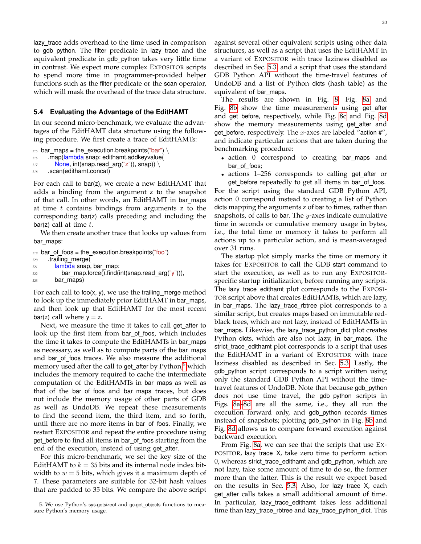lazy\_trace adds overhead to the time used in comparison to gdb python. The filter predicate in lazy trace and the equivalent predicate in gdb python takes very little time in contrast. We expect more complex EXPOSITOR scripts to spend more time in programmer-provided helper functions such as the filter predicate or the scan operator, which will mask the overhead of the trace data structure.

#### <span id="page-19-0"></span>**5.4 Evaluating the Advantage of the EditHAMT**

In our second micro-benchmark, we evaluate the advantages of the EditHAMT data structure using the following procedure. We first create a trace of EditHAMTs:

```
215 bar maps = the execution.breakpoints("bar") \
```

```
216 .map(lambda snap: edithamt.addkeyvalue(
```

```
217 None, int(snap.read_arg("z")), snap)) \
```

```
218 .scan(edithamt.concat)
```
For each call to bar(z), we create a new EditHAMT that adds a binding from the argument z to the snapshot of that call. In other words, an EditHAMT in bar\_maps at time  $t$  contains bindings from arguments  $z$  to the corresponding bar(z) calls preceding and including the bar(z) call at time  $t$ .

We then create another trace that looks up values from bar\_maps:

```
219 bar_of_foos = the_execution.breakpoints("foo")
220 .trailing merge(
221 lambda snap, bar map:
222 bar map.force().find(int(snap.read arg("y"))),
223 bar maps)
```
For each call to foo $(x, y)$ , we use the trailing merge method to look up the immediately prior EditHAMT in bar\_maps, and then look up that EditHAMT for the most recent bar(z) call where  $y = z$ .

Next, we measure the time it takes to call get\_after to look up the first item from bar\_of\_foos, which includes the time it takes to compute the EditHAMTs in bar\_maps as necessary, as well as to compute parts of the bar\_maps and bar\_of\_foos traces. We also measure the additional memory used after the call to get\_after by Python,<sup>[5](#page-19-1)</sup> which includes the memory required to cache the intermediate computation of the EditHAMTs in bar maps as well as that of the bar of foos and bar maps traces, but does not include the memory usage of other parts of GDB as well as UndoDB. We repeat these measurements to find the second item, the third item, and so forth, until there are no more items in bar of foos. Finally, we restart EXPOSITOR and repeat the entire procedure using get\_before to find all items in bar\_of\_foos starting from the end of the execution, instead of using get\_after.

For this micro-benchmark, we set the key size of the EditHAMT to  $k = 35$  bits and its internal node index bitwidth to  $w = 5$  bits, which gives it a maximum depth of 7. These parameters are suitable for 32-bit hash values that are padded to 35 bits. We compare the above script against several other equivalent scripts using other data structures, as well as a script that uses the EditHAMT in a variant of EXPOSITOR with trace laziness disabled as described in Sec. [5.3,](#page-17-6) and a script that uses the standard GDB Python API without the time-travel features of UndoDB and a list of Python dicts (hash table) as the equivalent of bar maps.

The results are shown in Fig. [8:](#page-20-0) Fig. [8a](#page-20-1) and Fig. [8b](#page-20-2) show the time measurements using get after and get before, respectively, while Fig. [8c](#page-20-3) and Fig. [8d](#page-20-4) show the memory measurements using get\_after and get\_before, respectively. The  $x$ -axes are labeled "action  $\#$ ", and indicate particular actions that are taken during the benchmarking procedure:

- action 0 correspond to creating bar maps and bar\_of\_foos;
- actions 1–256 corresponds to calling get after or get before repeatedly to get all items in bar of foos.

For the script using the standard GDB Python API, action 0 correspond instead to creating a list of Python dicts mapping the arguments z of bar to times, rather than snapshots, of calls to bar. The  $y$ -axes indicate cumulative time in seconds or cumulative memory usage in bytes, i.e., the total time or memory it takes to perform all actions up to a particular action, and is mean-averaged over 31 runs.

The startup plot simply marks the time or memory it takes for EXPOSITOR to call the GDB start command to start the execution, as well as to run any EXPOSITORspecific startup initialization, before running any scripts. The lazy trace edithamt plot corresponds to the EXPOSI-TOR script above that creates EditHAMTs, which are lazy, in bar\_maps. The lazy\_trace\_rbtree plot corresponds to a similar script, but creates maps based on immutable redblack trees, which are not lazy, instead of EditHAMTs in bar maps. Likewise, the lazy trace python dict plot creates Python dicts, which are also not lazy, in bar maps. The strict\_trace\_edithamt plot corresponds to a script that uses the EditHAMT in a variant of EXPOSITOR with trace laziness disabled as described in Sec. [5.3.](#page-17-6) Lastly, the gdb python script corresponds to a script written using only the standard GDB Python API without the timetravel features of UndoDB. Note that because gdb python does not use time travel, the gdb python scripts in Figs. [8a](#page-20-1)[–8d](#page-20-4) are all the same, i.e., they all run the execution forward only, and gdb\_python records times instead of snapshots; plotting gdb python in Fig. [8b](#page-20-2) and Fig. [8d](#page-20-4) allows us to compare forward execution against backward execution.

From Fig. [8a,](#page-20-1) we can see that the scripts that use EX-POSITOR, lazy\_trace\_X, take zero time to perform action 0, whereas strict\_trace\_edithamt and gdb\_python, which are not lazy, take some amount of time to do so, the former more than the latter. This is the result we expect based on the results in Sec. [5.3.](#page-17-6) Also, for lazy trace X, each get\_after calls takes a small additional amount of time. In particular, lazy\_trace\_edithamt takes less additional time than lazy\_trace\_rbtree and lazy\_trace\_python\_dict. This

<span id="page-19-1"></span><sup>5.</sup> We use Python's sys.getsizeof and gc.get\_objects functions to measure Python's memory usage.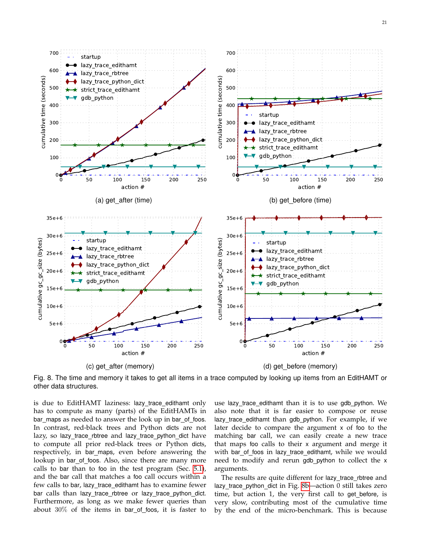

<span id="page-20-1"></span>

<span id="page-20-2"></span>700

<span id="page-20-3"></span><span id="page-20-0"></span>Fig. 8. The time and memory it takes to get all items in a trace computed by looking up items from an EditHAMT or other data structures.

is due to EditHAMT laziness: lazy trace edithamt only has to compute as many (parts) of the EditHAMTs in bar maps as needed to answer the look up in bar of foos. In contrast, red-black trees and Python dicts are not lazy, so lazy\_trace\_rbtree and lazy\_trace\_python\_dict have to compute all prior red-black trees or Python dicts, respectively, in bar\_maps, even before answering the lookup in bar\_of\_foos. Also, since there are many more calls to bar than to foo in the test program (Sec. [5.1\)](#page-17-7), and the bar call that matches a foo call occurs within a few calls to bar, lazy trace edithamt has to examine fewer bar calls than lazy\_trace\_rbtree or lazy\_trace\_python\_dict. Furthermore, as long as we make fewer queries than about  $30\%$  of the items in bar\_of\_foos, it is faster to

700

startup

<span id="page-20-4"></span>use lazy trace edithamt than it is to use gdb python. We also note that it is far easier to compose or reuse lazy\_trace\_edithamt than gdb\_python. For example, if we later decide to compare the argument x of foo to the matching bar call, we can easily create a new trace that maps foo calls to their x argument and merge it with bar\_of\_foos in lazy\_trace\_edithamt, while we would need to modify and rerun gdb python to collect the x arguments.

The results are quite different for lazy\_trace\_rbtree and lazy\_trace\_python\_dict in Fig. 8b-action 0 still takes zero time, but action 1, the very first call to get\_before, is very slow, contributing most of the cumulative time by the end of the micro-benchmark. This is because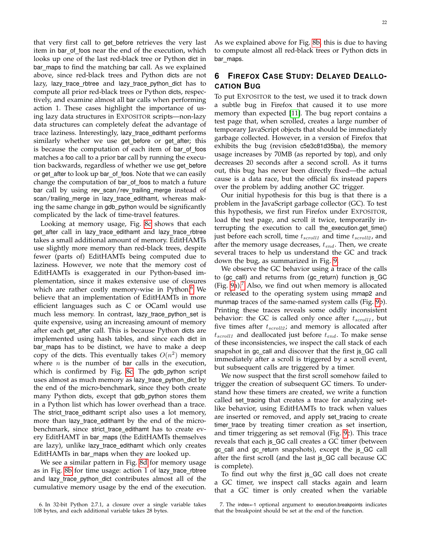that very first call to get before retrieves the very last item in bar\_of\_foos near the end of the execution, which looks up one of the last red-black tree or Python dict in bar\_maps to find the matching bar call. As we explained above, since red-black trees and Python dicts are not lazy, lazy\_trace\_rbtree and lazy\_trace\_python\_dict has to compute all prior red-black trees or Python dicts, respectively, and examine almost all bar calls when performing action 1. These cases highlight the importance of using lazy data structures in EXPOSITOR scripts—non-lazy data structures can completely defeat the advantage of trace laziness. Interestingly, lazy\_trace\_edithamt performs similarly whether we use get before or get after; this is because the computation of each item of bar\_of\_foos matches a foo call to a prior bar call by running the execution backwards, regardless of whether we use get before or get\_after to look up bar\_of\_foos. Note that we can easily change the computation of bar\_of\_foos to match a future bar call by using rev\_scan/rev\_trailing\_merge instead of scan/trailing merge in lazy trace edithamt, whereas making the same change in gdb python would be significantly complicated by the lack of time-travel features.

Looking at memory usage, Fig. [8c](#page-20-3) shows that each get after call in lazy trace edithamt and lazy trace rbtree takes a small additional amount of memory. EditHAMTs use slightly more memory than red-black trees, despite fewer (parts of) EditHAMTs being computed due to laziness. However, we note that the memory cost of EditHAMTs is exaggerated in our Python-based implementation, since it makes extensive use of closures which are rather costly memory-wise in Python.<sup>[6](#page-21-1)</sup> We believe that an implementation of EditHAMTs in more efficient languages such as C or OCaml would use much less memory. In contrast, lazy\_trace\_python\_set is quite expensive, using an increasing amount of memory after each get\_after call. This is because Python dicts are implemented using hash tables, and since each dict in bar\_maps has to be distinct, we have to make a deep copy of the dicts. This eventually takes  $O(n^2)$  memory where  $n$  is the number of bar calls in the execution, which is confirmed by Fig. [8c.](#page-20-3) The gdb\_python script uses almost as much memory as lazy\_trace\_python\_dict by the end of the micro-benchmark, since they both create many Python dicts, except that gdb\_python stores them in a Python list which has lower overhead than a trace. The strict\_trace\_edithamt script also uses a lot memory, more than lazy trace edithamt by the end of the microbenchmark, since strict\_trace\_edithamt has to create every EditHAMT in bar\_maps (the EditHAMTs themselves are lazy), unlike lazy trace edithamt which only creates EditHAMTs in bar\_maps when they are looked up.

We see a similar pattern in Fig. [8d](#page-20-4) for memory usage as in Fig. [8b](#page-20-2) for time usage: action 1 of lazy\_trace\_rbtree and lazy\_trace\_python\_dict contributes almost all of the cumulative memory usage by the end of the execution.

<span id="page-21-1"></span>6. In 32-bit Python 2.7.1, a closure over a single variable takes 108 bytes, and each additional variable takes 28 bytes.

As we explained above for Fig. [8b,](#page-20-2) this is due to having to compute almost all red-black trees or Python dicts in bar\_maps.

# <span id="page-21-0"></span>**6 FIREFOX CASE STUDY: DELAYED DEALLO-CATION BUG**

To put EXPOSITOR to the test, we used it to track down a subtle bug in Firefox that caused it to use more memory than expected [\[11\]](#page-24-10). The bug report contains a test page that, when scrolled, creates a large number of temporary JavaScript objects that should be immediately garbage collected. However, in a version of Firefox that exhibits the bug (revision c5e3c81d35ba), the memory usage increases by 70MB (as reported by top), and only decreases 20 seconds after a second scroll. As it turns out, this bug has never been directly fixed—the actual cause is a data race, but the official fix instead papers over the problem by adding another GC trigger.

Our initial hypothesis for this bug is that there is a problem in the JavaScript garbage collector (GC). To test this hypothesis, we first run Firefox under EXPOSITOR, load the test page, and scroll it twice, temporarily interrupting the execution to call the execution.get\_time() just before each scroll, time  $t_{scroll1}$  and time  $t_{scroll2}$ , and after the memory usage decreases,  $t_{end}$ . Then, we create several traces to help us understand the GC and track down the bug, as summarized in Fig. [9.](#page-22-1)

We observe the GC behavior using a trace of the calls to (gc\_call) and returns from (gc\_return) function js\_GC (Fig. [9a](#page-22-1)). Also, we find out when memory is allocated or released to the operating system using mmap2 and munmap traces of the same-named system calls (Fig. [9b](#page-22-1)). Printing these traces reveals some oddly inconsistent behavior: the GC is called only once after  $t_{scroll1}$ , but five times after  $t_{scroll2}$ ; and memory is allocated after  $t_{scroll1}$  and deallocated just before  $t_{end}$ . To make sense of these inconsistencies, we inspect the call stack of each snapshot in gc call and discover that the first js GC call immediately after a scroll is triggered by a scroll event, but subsequent calls are triggered by a timer.

We now suspect that the first scroll somehow failed to trigger the creation of subsequent GC timers. To understand how these timers are created, we write a function called set tracing that creates a trace for analyzing setlike behavior, using EditHAMTs to track when values are inserted or removed, and apply set\_tracing to create timer trace by treating timer creation as set insertion, and timer triggering as set removal (Fig. [9c](#page-22-1)). This trace reveals that each js\_GC call creates a GC timer (between gc call and gc\_return snapshots), except the js\_GC call after the first scroll (and the last js GC call because GC is complete).

To find out why the first js GC call does not create a GC timer, we inspect call stacks again and learn that a GC timer is only created when the variable

<span id="page-21-2"></span><sup>7.</sup> The index=-1 optional argument to execution.breakpoints indicates that the breakpoint should be set at the end of the function.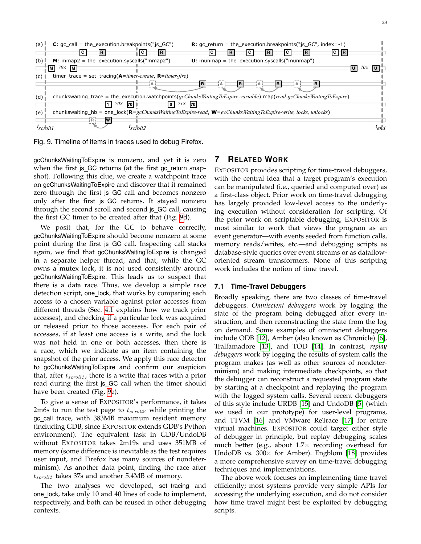

<span id="page-22-1"></span>Fig. 9. Timeline of items in traces used to debug Firefox.

gcChunksWaitingToExpire is nonzero, and yet it is zero when the first js\_GC returns (at the first gc\_return snapshot). Following this clue, we create a watchpoint trace on gcChunksWaitingToExpire and discover that it remained zero through the first js GC call and becomes nonzero only after the first js\_GC returns. It stayed nonzero through the second scroll and second js GC call, causing the first GC timer to be created after that (Fig. [9d](#page-22-1)).

We posit that, for the GC to behave correctly, gcChunksWaitingToExpire should become nonzero at some point during the first js GC call. Inspecting call stacks again, we find that gcChunksWaitingToExpire is changed in a separate helper thread, and that, while the GC owns a mutex lock, it is not used consistently around gcChunksWaitingToExpire. This leads us to suspect that there is a data race. Thus, we develop a simple race detection script, one lock, that works by comparing each access to a chosen variable against prior accesses from different threads (Sec. [4.1](#page-8-8) explains how we track prior accesses), and checking if a particular lock was acquired or released prior to those accesses. For each pair of accesses, if at least one access is a write, and the lock was not held in one or both accesses, then there is a race, which we indicate as an item containing the snapshot of the prior access. We apply this race detector to gcChunksWaitingToExpire and confirm our suspicion that, after  $t_{scroll1}$ , there is a write that races with a prior read during the first js GC call when the timer should have been created (Fig. [9e](#page-22-1)).

To give a sense of EXPOSITOR's performance, it takes 2m6s to run the test page to  $t_{scroll2}$  while printing the gc call trace, with 383MB maximum resident memory (including GDB, since EXPOSITOR extends GDB's Python environment). The equivalent task in GDB/UndoDB without EXPOSITOR takes 2m19s and uses 351MB of memory (some difference is inevitable as the test requires user input, and Firefox has many sources of nondeterminism). As another data point, finding the race after  $t_{scroll1}$  takes 37s and another 5.4MB of memory.

The two analyses we developed, set\_tracing and one lock, take only 10 and 40 lines of code to implement, respectively, and both can be reused in other debugging contexts.

## <span id="page-22-0"></span>**7 RELATED WORK**

EXPOSITOR provides scripting for time-travel debuggers, with the central idea that a target program's execution can be manipulated (i.e., queried and computed over) as a first-class object. Prior work on time-travel debugging has largely provided low-level access to the underlying execution without consideration for scripting. Of the prior work on scriptable debugging, EXPOSITOR is most similar to work that views the program as an event generator—with events seeded from function calls, memory reads/writes, etc.—and debugging scripts as database-style queries over event streams or as datafloworiented stream transformers. None of this scripting work includes the notion of time travel.

## **7.1 Time-Travel Debuggers**

Broadly speaking, there are two classes of time-travel debuggers. *Omniscient debuggers* work by logging the state of the program being debugged after every instruction, and then reconstructing the state from the log on demand. Some examples of omniscient debuggers include ODB [\[12\]](#page-24-11), Amber (also known as Chronicle) [\[6\]](#page-24-5), Tralfamadore [\[13\]](#page-24-12), and TOD [\[14\]](#page-24-13). In contrast, *replay debuggers* work by logging the results of system calls the program makes (as well as other sources of nondeterminism) and making intermediate checkpoints, so that the debugger can reconstruct a requested program state by starting at a checkpoint and replaying the program with the logged system calls. Several recent debuggers of this style include URDB [\[15\]](#page-24-14) and UndoDB [\[5\]](#page-24-4) (which we used in our prototype) for user-level programs, and TTVM [\[16\]](#page-24-15) and VMware ReTrace [\[17\]](#page-24-16) for entire virtual machines. EXPOSITOR could target either style of debugger in principle, but replay debugging scales much better (e.g., about  $1.7\times$  recording overhead for UndoDB vs.  $300 \times$  for Amber). Engblom [\[18\]](#page-24-17) provides a more comprehensive survey on time-travel debugging techniques and implementations.

The above work focuses on implementing time travel efficiently; most systems provide very simple APIs for accessing the underlying execution, and do not consider how time travel might best be exploited by debugging scripts.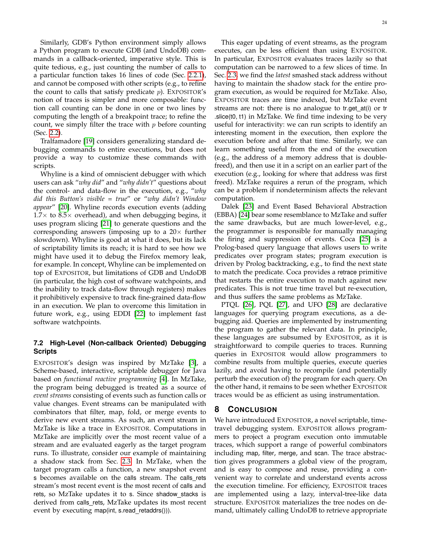Similarly, GDB's Python environment simply allows a Python program to execute GDB (and UndoDB) commands in a callback-oriented, imperative style. This is quite tedious, e.g., just counting the number of calls to a particular function takes 16 lines of code (Sec. [2.2.1\)](#page-4-20), and cannot be composed with other scripts (e.g., to refine the count to calls that satisfy predicate  $p$ ). EXPOSITOR's notion of traces is simpler and more composable: function call counting can be done in one or two lines by computing the length of a breakpoint trace; to refine the count, we simply filter the trace with  $p$  before counting (Sec. [2.2\)](#page-3-0).

Tralfamadore [\[19\]](#page-24-18) considers generalizing standard debugging commands to entire executions, but does not provide a way to customize these commands with scripts.

Whyline is a kind of omniscient debugger with which users can ask "*why did*" and "*why didn't*" questions about the control- and data-flow in the execution, e.g., "*why did this Button's visible = true*" or "*why didn't Window appear*" [\[20\]](#page-24-19). Whyline records execution events (adding  $1.7\times$  to 8.5 $\times$  overhead), and when debugging begins, it uses program slicing [\[21\]](#page-24-20) to generate questions and the corresponding answers (imposing up to a  $20\times$  further slowdown). Whyline is good at what it does, but its lack of scriptability limits its reach; it is hard to see how we might have used it to debug the Firefox memory leak, for example. In concept, Whyline can be implemented on top of EXPOSITOR, but limitations of GDB and UndoDB (in particular, the high cost of software watchpoints, and the inability to track data-flow through registers) makes it prohibitively expensive to track fine-grained data-flow in an execution. We plan to overcome this limitation in future work, e.g., using EDDI [\[22\]](#page-24-21) to implement fast software watchpoints.

## **7.2 High-Level (Non-callback Oriented) Debugging Scripts**

EXPOSITOR's design was inspired by MzTake [\[3\]](#page-24-2), a Scheme-based, interactive, scriptable debugger for Java based on *functional reactive programming* [\[4\]](#page-24-3). In MzTake, the program being debugged is treated as a source of *event streams* consisting of events such as function calls or value changes. Event streams can be manipulated with combinators that filter, map, fold, or merge events to derive new event streams. As such, an event stream in MzTake is like a trace in EXPOSITOR. Computations in MzTake are implicitly over the most recent value of a stream and are evaluated eagerly as the target program runs. To illustrate, consider our example of maintaining a shadow stack from Sec. [2.3.](#page-5-1) In MzTake, when the target program calls a function, a new snapshot event s becomes available on the calls stream. The calls rets stream's most recent event is the most recent of calls and rets, so MzTake updates it to s. Since shadow\_stacks is derived from calls\_rets, MzTake updates its most recent event by executing map(int, s.read\_retaddrs())).

This eager updating of event streams, as the program executes, can be less efficient than using EXPOSITOR. In particular, EXPOSITOR evaluates traces lazily so that computation can be narrowed to a few slices of time. In Sec. [2.3,](#page-5-1) we find the *latest* smashed stack address without having to maintain the shadow stack for the entire program execution, as would be required for MzTake. Also, EXPOSITOR traces are time indexed, but MzTake event streams are not: there is no analogue to tr.get at(i) or tr .slice(t0, t1) in MzTake. We find time indexing to be very useful for interactivity: we can run scripts to identify an interesting moment in the execution, then explore the execution before and after that time. Similarly, we can learn something useful from the end of the execution (e.g., the address of a memory address that is doublefreed), and then use it in a script on an earlier part of the execution (e.g., looking for where that address was first freed). MzTake requires a rerun of the program, which can be a problem if nondeterminism affects the relevant computation.

Dalek [\[23\]](#page-24-22) and Event Based Behavioral Abstraction (EBBA) [\[24\]](#page-24-23) bear some resemblance to MzTake and suffer the same drawbacks, but are much lower-level, e.g., the programmer is responsible for manually managing the firing and suppression of events. Coca [\[25\]](#page-24-24) is a Prolog-based query language that allows users to write predicates over program states; program execution is driven by Prolog backtracking, e.g., to find the next state to match the predicate. Coca provides a retrace primitive that restarts the entire execution to match against new predicates. This is not true time travel but re-execution, and thus suffers the same problems as MzTake.

PTQL [\[26\]](#page-24-25), PQL [\[27\]](#page-24-26), and UFO [\[28\]](#page-24-27) are declarative languages for querying program executions, as a debugging aid. Queries are implemented by instrumenting the program to gather the relevant data. In principle, these languages are subsumed by EXPOSITOR, as it is straightforward to compile queries to traces. Running queries in EXPOSITOR would allow programmers to combine results from multiple queries, execute queries lazily, and avoid having to recompile (and potentially perturb the execution of) the program for each query. On the other hand, it remains to be seen whether EXPOSITOR traces would be as efficient as using instrumentation.

#### **8 CONCLUSION**

We have introduced EXPOSITOR, a novel scriptable, timetravel debugging system. EXPOSITOR allows programmers to project a program execution onto immutable traces, which support a range of powerful combinators including map, filter, merge, and scan. The trace abstraction gives programmers a global view of the program, and is easy to compose and reuse, providing a convenient way to correlate and understand events across the execution timeline. For efficiency, EXPOSITOR traces are implemented using a lazy, interval-tree-like data structure. EXPOSITOR materializes the tree nodes on demand, ultimately calling UndoDB to retrieve appropriate